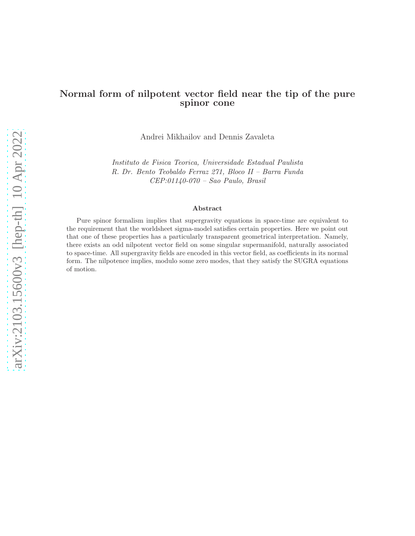# Normal form of nilpotent vector field near the tip of the pure spinor cone

Andrei Mikhailov and Dennis Zavaleta

*Instituto de Fisica Teorica, Universidade Estadual Paulista R. Dr. Bento Teobaldo Ferraz 271, Bloco II – Barra Funda CEP:01140-070 – Sao Paulo, Brasil*

#### Abstract

Pure spinor formalism implies that supergravity equations in space-time are equivalent to the requirement that the worldsheet sigma-model satisfies certain properties. Here we point out that one of these properties has a particularly transparent geometrical interpretation. Namely, there exists an odd nilpotent vector field on some singular supermanifold, naturally associated to space-time. All supergravity fields are encoded in this vector field, as coefficients in its normal form. The nilpotence implies, modulo some zero modes, that they satisfy the SUGRA equations of motion.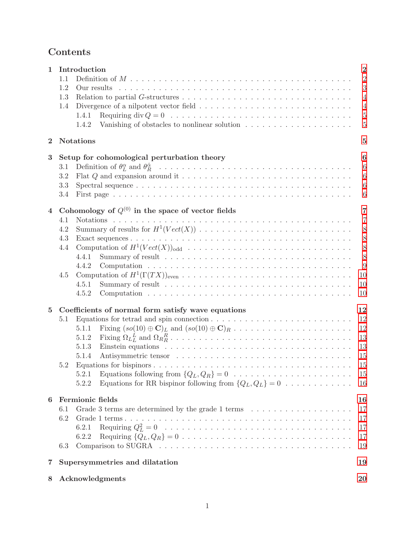# Contents

| $\mathbf{1}$     | Introduction<br>1.1<br>1.2<br>Our results<br>1.3<br>1.4<br>1.4.1<br>1.4.2                                                                                                                                                                                                                   | $\overline{2}$<br>$\overline{2}$<br>3<br>$\overline{4}$<br>$\overline{4}$<br>$\overline{5}$<br>$\overline{5}$ |
|------------------|---------------------------------------------------------------------------------------------------------------------------------------------------------------------------------------------------------------------------------------------------------------------------------------------|---------------------------------------------------------------------------------------------------------------|
| $\bf{2}$         | <b>Notations</b>                                                                                                                                                                                                                                                                            | $\overline{5}$                                                                                                |
| $\boldsymbol{3}$ | Setup for cohomological perturbation theory<br>3.1<br>3.2<br>3.3<br>3.4                                                                                                                                                                                                                     | 6<br>$6\phantom{.}6$<br>$\sqrt{6}$<br>$\boldsymbol{6}$<br>$\boldsymbol{6}$                                    |
| $\overline{4}$   | Cohomology of $Q^{(0)}$ in the space of vector fields<br>4.1<br><b>Notations</b><br>4.2<br>4.3<br>Computation of $H^1(Vect(X))_{odd} \dots \dots \dots \dots \dots \dots \dots \dots \dots \dots \dots \dots$<br>4.4<br>4.4.1<br>4.4.2<br>4.5<br>4.5.1<br>4.5.2                             | $\overline{7}$<br>$\overline{7}$<br>8<br>8<br>8<br>8<br>9<br>10<br>10<br>10                                   |
| $\overline{5}$   | Coefficients of normal form satisfy wave equations<br>Equations for tetrad and spin connection $\ldots \ldots \ldots \ldots \ldots \ldots \ldots \ldots$<br>5.1<br>5.1.1<br>5.1.2<br>5.1.3<br>5.1.4<br>5.2<br>5.2.1<br>Equations for RR bispinor following from $\{Q_L, Q_L\} = 0$<br>5.2.2 | 12<br>12<br>12<br>13<br>13<br>15<br>15<br>15<br>16                                                            |
| 6                | Fermionic fields<br>6.1<br>6.2<br>6.2.1<br>6.2.2<br>6.3                                                                                                                                                                                                                                     | 16<br>17<br>17<br>17<br>17<br>19                                                                              |
| 7                | Supersymmetries and dilatation                                                                                                                                                                                                                                                              | 19                                                                                                            |
| 8                | Acknowledgments                                                                                                                                                                                                                                                                             | 20                                                                                                            |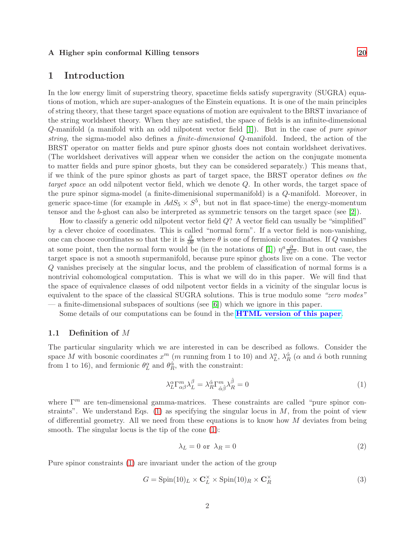#### <span id="page-2-0"></span>A Higher spin conformal Killing tensors [20](#page-20-1)

### 1 Introduction

In the low energy limit of superstring theory, spacetime fields satisfy supergravity (SUGRA) equations of motion, which are super-analogues of the Einstein equations. It is one of the main principles of string theory, that these target space equations of motion are equivalent to the BRST invariance of the string worldsheet theory. When they are satisfied, the space of fields is an infinite-dimensional Q-manifold (a manifold with an odd nilpotent vector field [\[1\]](#page-21-0)). But in the case of *pure spinor string*, the sigma-model also defines a *finite-dimensional* Q-manifold. Indeed, the action of the BRST operator on matter fields and pure spinor ghosts does not contain worldsheet derivatives. (The worldsheet derivatives will appear when we consider the action on the conjugate momenta to matter fields and pure spinor ghosts, but they can be considered separately.) This means that, if we think of the pure spinor ghosts as part of target space, the BRST operator defines *on the target space* an odd nilpotent vector field, which we denote Q. In other words, the target space of the pure spinor sigma-model (a finite-dimenisional supermanifold) is a Q-manifold. Moreover, in generic space-time (for example in  $AdS_5 \times S^5$ , but not in flat space-time) the energy-momentum tensor and the b-ghost can also be interpreted as symmetric tensors on the target space (see [\[2\]](#page-21-1)).

How to classify a generic odd nilpotent vector field Q? A vector field can usually be "simplified" by a clever choice of coordinates. This is called "normal form". If a vector field is non-vanishing, one can choose coordinates so that the it is  $\frac{\partial}{\partial \theta}$  where  $\theta$  is one of fermionic coordinates. If Q vanishes at some point, then the normal form would be (in the notations of [\[1\]](#page-21-0))  $\eta^a \frac{\partial}{\partial x^a}$ . But in out case, the target space is not a smooth supermanifold, because pure spinor ghosts live on a cone. The vector Q vanishes precisely at the singular locus, and the problem of classification of normal forms is a nontrivial cohomological computation. This is what we will do in this paper. We will find that the space of equivalence classes of odd nilpotent vector fields in a vicinity of the singular locus is equivalent to the space of the classical SUGRA solutions. This is true modulo some *"zero modes"* — a finite-dimensional subspaces of soultions (see [\[6\]](#page-22-0)) which we ignore in this paper.

Some details of our computations can be found in the **[HTML version of this paper](https://andreimikhailov.com/math/vector-fields/index.html)**.

#### <span id="page-2-1"></span>1.1 Definition of M

The particular singularity which we are interested in can be described as follows. Consider the space M with bosonic coordinates  $x^m$  (m running from 1 to 10) and  $\lambda_L^{\alpha}$ ,  $\lambda_R^{\hat{\alpha}}$  ( $\alpha$  and  $\hat{\alpha}$  both running from 1 to 16), and fermionic  $\theta_L^{\alpha}$  and  $\theta_R^{\hat{\alpha}}$ , with the constraint:

<span id="page-2-2"></span>
$$
\lambda_L^{\alpha} \Gamma_{\alpha\beta}^m \lambda_L^{\beta} = \lambda_R^{\hat{\alpha}} \Gamma_{\hat{\alpha}\hat{\beta}}^m \lambda_R^{\hat{\beta}} = 0
$$
\n(1)

where  $\Gamma^m$  are ten-dimensional gamma-matrices. These constraints are called "pure spinor constraints". We understand Eqs.  $(1)$  as specifying the singular locus in M, from the point of view of differential geometry. All we need from these equations is to know how  $M$  deviates from being smooth. The singular locus is the tip of the cone [\(1\)](#page-2-2):

<span id="page-2-4"></span>
$$
\lambda_L = 0 \text{ or } \lambda_R = 0 \tag{2}
$$

Pure spinor constraints [\(1\)](#page-2-2) are invariant under the action of the group

<span id="page-2-3"></span>
$$
G = \text{Spin}(10)_L \times \mathbf{C}_L^{\times} \times \text{Spin}(10)_R \times \mathbf{C}_R^{\times}
$$
 (3)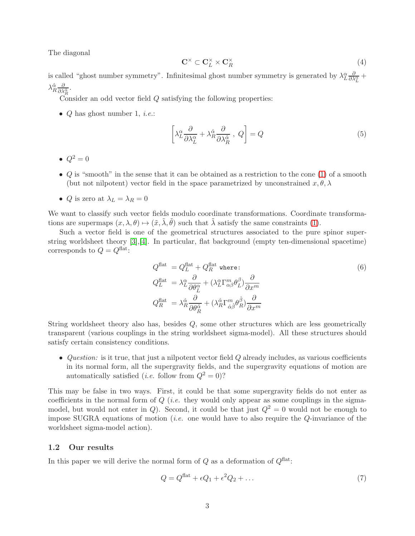The diagonal

$$
\mathbf{C}^{\times} \subset \mathbf{C}_{L}^{\times} \times \mathbf{C}_{R}^{\times} \tag{4}
$$

is called "ghost number symmetry". Infinitesimal ghost number symmetry is generated by  $\lambda_L^{\alpha} \frac{\partial}{\partial \lambda_L^{\alpha}} +$  $\lambda_R^{\hat{\alpha}} \frac{\partial}{\partial \lambda_R^{\hat{\alpha}}}.$ 

Consider an odd vector field Q satisfying the following properties:

• Q has ghost number 1, *i.e.*:

<span id="page-3-2"></span>
$$
\left[\lambda_L^{\alpha} \frac{\partial}{\partial \lambda_L^{\alpha}} + \lambda_R^{\hat{\alpha}} \frac{\partial}{\partial \lambda_R^{\hat{\alpha}}}, \ Q\right] = Q \tag{5}
$$

- $\bullet$   $Q^2=0$
- $Q$  is "smooth" in the sense that it can be obtained as a restriction to the cone  $(1)$  of a smooth (but not nilpotent) vector field in the space parametrized by unconstrained  $x, \theta, \lambda$
- *Q* is zero at  $\lambda_L = \lambda_R = 0$

We want to classify such vector fields modulo coordinate transformations. Coordinate transformations are supermaps  $(x, \lambda, \theta) \mapsto (\tilde{x}, \tilde{\lambda}, \tilde{\theta})$  such that  $\tilde{\lambda}$  satisfy the same constraints [\(1\)](#page-2-2).

Such a vector field is one of the geometrical structures associated to the pure spinor superstring worldsheet theory [\[3\]](#page-21-2),[\[4\]](#page-22-1). In particular, flat background (empty ten-dimensional spacetime) corresponds to  $Q = Q^{\text{flat}}$ :

<span id="page-3-3"></span>
$$
Q_L^{\text{flat}} = Q_L^{\text{flat}} + Q_R^{\text{flat}} \text{ where:}
$$
\n
$$
Q_L^{\text{flat}} = \lambda_L^{\alpha} \frac{\partial}{\partial \theta_L^{\alpha}} + (\lambda_L^{\alpha} \Gamma_{\alpha\beta}^m \theta_L^{\beta}) \frac{\partial}{\partial x^m}
$$
\n
$$
Q_R^{\text{flat}} = \lambda_R^{\hat{\alpha}} \frac{\partial}{\partial \theta_R^{\hat{\alpha}}} + (\lambda_R^{\hat{\alpha}} \Gamma_{\hat{\alpha}\hat{\beta}}^m \theta_R^{\hat{\beta}}) \frac{\partial}{\partial x^m}
$$
\n(6)

String worldsheet theory also has, besides Q, some other structures which are less geometrically transparent (various couplings in the string worldsheet sigma-model). All these structures should satisfy certain consistency conditions.

• *Question:* is it true, that just a nilpotent vector field Q already includes, as various coefficients in its normal form, all the supergravity fields, and the supergravity equations of motion are automatically satisfied (*i.e.* follow from  $Q^2 = 0$ )?

This may be false in two ways. First, it could be that some supergravity fields do not enter as coefficients in the normal form of Q (*i.e.* they would only appear as some couplings in the sigmamodel, but would not enter in Q). Second, it could be that just  $Q^2 = 0$  would not be enough to impose SUGRA equations of motion (*i.e.* one would have to also require the Q-invariance of the worldsheet sigma-model action).

#### <span id="page-3-0"></span>1.2 Our results

In this paper we will derive the normal form of  $Q$  as a deformation of  $Q^{\text{flat}}$ :

<span id="page-3-1"></span>
$$
Q = Q^{\text{flat}} + \epsilon Q_1 + \epsilon^2 Q_2 + \dots \tag{7}
$$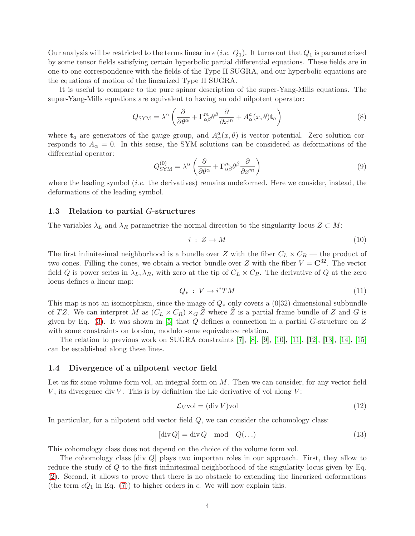Our analysis will be restricted to the terms linear in  $\epsilon$  (*i.e.*  $Q_1$ ). It turns out that  $Q_1$  is parameterized by some tensor fields satisfying certain hyperbolic partial differential equations. These fields are in one-to-one correspondence with the fields of the Type II SUGRA, and our hyperbolic equations are the equations of motion of the linearized Type II SUGRA.

It is useful to compare to the pure spinor description of the super-Yang-Mills equations. The super-Yang-Mills equations are equivalent to having an odd nilpotent operator:

$$
Q_{\text{SYM}} = \lambda^{\alpha} \left( \frac{\partial}{\partial \theta^{\alpha}} + \Gamma_{\alpha\beta}^{m} \theta^{\beta} \frac{\partial}{\partial x^{m}} + A_{\alpha}^{a}(x, \theta) \mathbf{t}_{a} \right)
$$
(8)

where  $\mathbf{t}_a$  are generators of the gauge group, and  $A^a_\alpha(x, \theta)$  is vector potential. Zero solution corresponds to  $A_{\alpha} = 0$ . In this sense, the SYM solutions can be considered as deformations of the differential operator:

$$
Q_{\text{SYM}}^{(0)} = \lambda^{\alpha} \left( \frac{\partial}{\partial \theta^{\alpha}} + \Gamma_{\alpha\beta}^{m} \theta^{\beta} \frac{\partial}{\partial x^{m}} \right)
$$
(9)

where the leading symbol (*i.e.* the derivatives) remains undeformed. Here we consider, instead, the deformations of the leading symbol.

#### <span id="page-4-0"></span>1.3 Relation to partial G-structures

The variables  $\lambda_L$  and  $\lambda_R$  parametrize the normal direction to the singularity locus  $Z \subset M$ :

$$
i: Z \to M \tag{10}
$$

The first infinitesimal neighborhood is a bundle over Z with the fiber  $C_L \times C_R$  — the product of two cones. Filling the cones, we obtain a vector bundle over Z with the fiber  $V = \mathbb{C}^{32}$ . The vector field Q is power series in  $\lambda_L$ ,  $\lambda_R$ , with zero at the tip of  $C_L \times C_R$ . The derivative of Q at the zero locus defines a linear map:

$$
Q_*\,:\,V\to i^*TM\tag{11}
$$

This map is not an isomorphism, since the image of  $Q_*$  only covers a (0|32)-dimensional subbundle of TZ. We can interpret M as  $(C_L \times C_R) \times_G \hat{Z}$  where  $\hat{Z}$  is a partial frame bundle of Z and G is given by Eq. [\(3\)](#page-2-3). It was shown in [\[5\]](#page-22-2) that  $Q$  defines a connection in a partial G-structure on  $Z$ with some constraints on torsion, modulo some equivalence relation.

The relation to previous work on SUGRA constraints [\[7\]](#page-22-3), [\[8\]](#page-22-4), [\[9\]](#page-22-5), [\[10\]](#page-22-6), [\[11\]](#page-22-7), [\[12\]](#page-22-8), [\[13\]](#page-22-9), [\[14\]](#page-22-10), [\[15\]](#page-22-11) can be established along these lines.

### <span id="page-4-1"></span>1.4 Divergence of a nilpotent vector field

Let us fix some volume form vol, an integral form on  $M$ . Then we can consider, for any vector field V, its divergence div V. This is by definition the Lie derivative of vol along  $V$ :

$$
\mathcal{L}_V \text{vol} = (\text{div } V) \text{vol} \tag{12}
$$

In particular, for a nilpotent odd vector field  $Q$ , we can consider the cohomology class:

$$
[\operatorname{div} Q] = \operatorname{div} Q \mod Q(\ldots) \tag{13}
$$

This cohomology class does not depend on the choice of the volume form vol.

The cohomology class [div Q] plays two importan roles in our approach. First, they allow to reduce the study of Q to the first infinitesimal neighborhood of the singularity locus given by Eq. [\(2\)](#page-2-4). Second, it allows to prove that there is no obstacle to extending the linearized deformations (the term  $\epsilon Q_1$  in Eq. [\(7\)](#page-3-1)) to higher orders in  $\epsilon$ . We will now explain this.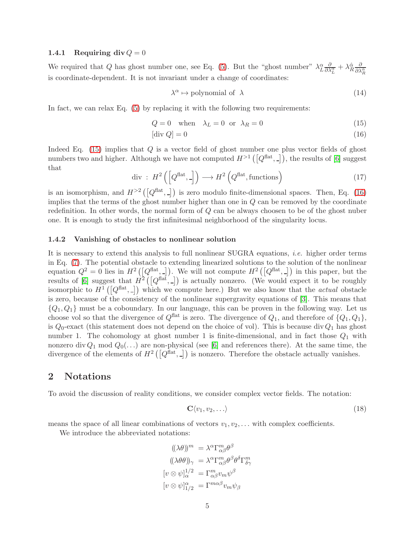#### <span id="page-5-0"></span>1.4.1 Requiring div  $Q = 0$

We required that Q has ghost number one, see Eq. [\(5\)](#page-3-2). But the "ghost number"  $\lambda_L^{\alpha} \frac{\partial}{\partial \lambda_L^{\alpha}} + \lambda_R^{\hat{\alpha}} \frac{\partial}{\partial \lambda_R^{\hat{\alpha}}}$ is coordinate-dependent. It is not invariant under a change of coordinates:

<span id="page-5-4"></span><span id="page-5-3"></span>
$$
\lambda^{\alpha} \mapsto \text{polynomial of } \lambda \tag{14}
$$

In fact, we can relax Eq. [\(5\)](#page-3-2) by replacing it with the following two requirements:

$$
Q = 0 \quad \text{when} \quad \lambda_L = 0 \quad \text{or} \quad \lambda_R = 0 \tag{15}
$$

$$
[\text{div } Q] = 0 \tag{16}
$$

Indeed Eq. [\(15\)](#page-5-3) implies that Q is a vector field of ghost number one plus vector fields of ghost numbers two and higher. Although we have not computed  $H^{>1}(\lceil Q^{\text{flat}}, \_ \rceil)$ , the results of [\[6\]](#page-22-0) suggest that

$$
\operatorname{div}: H^{2}\left(\left[Q^{\text{flat}}, -\right]\right) \longrightarrow H^{2}\left(Q^{\text{flat}}, \text{functions}\right) \tag{17}
$$

is an isomorphism, and  $H^{>2}(\lceil Q^{\text{flat}}, \_r \rceil)$  is zero modulo finite-dimensional spaces. Then, Eq. [\(16\)](#page-5-4) implies that the terms of the ghost number higher than one in  $Q$  can be removed by the coordinate redefinition. In other words, the normal form of Q can be always choosen to be of the ghost nuber one. It is enough to study the first infinitesimal neighborhood of the singularity locus.

#### <span id="page-5-1"></span>1.4.2 Vanishing of obstacles to nonlinear solution

It is necessary to extend this analysis to full nonlinear SUGRA equations, *i.e.* higher order terms in Eq. [\(7\)](#page-3-1). The potential obstacle to extending linearized solutions to the solution of the nonlinear equation  $Q^2 = 0$  lies in  $H^2(\overline{Q}^{\text{flat}}, \underline{I})$ . We will not compute  $H^2(\overline{Q}^{\text{flat}}, \underline{I})$  in this paper, but the results of [\[6\]](#page-22-0) suggest that  $H^2(\overline{Q}^{\text{flat}},\underline{I})$  is actually nonzero. (We would expect it to be roughly isomorphic to  $H^1(\mathbb{Q}^{flat}, \underline{\ } )$  which we compute here.) But we also know that the *actual* obstacle is zero, because of the consistency of the nonlinear supergravity equations of [\[3\]](#page-21-2). This means that  ${Q_1, Q_1}$  must be a coboundary. In our language, this can be proven in the following way. Let us choose vol so that the divergence of  $Q^{\text{flat}}$  is zero. The divergence of  $Q_1$ , and therefore of  $\{Q_1, Q_1\}$ , is  $Q_0$ -exact (this statement does not depend on the choice of vol). This is because div $Q_1$  has ghost number 1. The cohomology at ghost number 1 is finite-dimensional, and in fact those  $Q_1$  with nonzero div  $Q_1$  mod  $Q_0(\ldots)$  are non-physical (see [\[6\]](#page-22-0) and references there). At the same time, the divergence of the elements of  $H^2(\overline{Q}^{\text{flat}},\underline{I})$  is nonzero. Therefore the obstacle actually vanishes.

### <span id="page-5-2"></span>2 Notations

To avoid the discussion of reality conditions, we consider complex vector fields. The notation:

$$
\mathbf{C}\langle v_1, v_2, \ldots \rangle \tag{18}
$$

means the space of all linear combinations of vectors  $v_1, v_2, \ldots$  with complex coefficients.

 $\mathcal{C}$ 

We introduce the abbreviated notations:

$$
((\lambda \theta))^m = \lambda^{\alpha} \Gamma_{\alpha \beta}^m \theta^{\beta}
$$

$$
((\lambda \theta \theta))_{\gamma} = \lambda^{\alpha} \Gamma_{\alpha \beta}^m \theta^{\beta} \theta^{\delta} \Gamma_{\delta \gamma}^m
$$

$$
[v \otimes \psi]_{\alpha}^{1/2} = \Gamma_{\alpha \beta}^m v_m \psi^{\beta}
$$

$$
[v \otimes \psi]_{1/2}^{\alpha} = \Gamma^{m \alpha \beta} v_m \psi_{\beta}
$$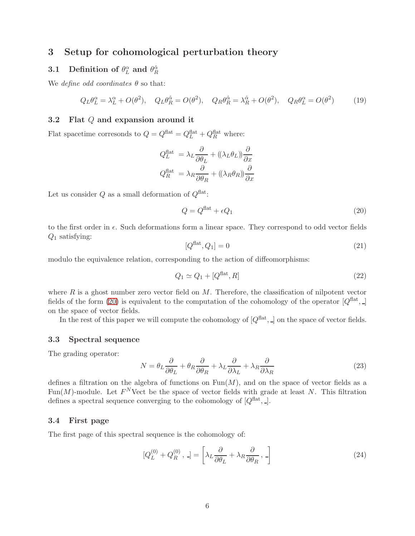### <span id="page-6-1"></span><span id="page-6-0"></span>3 Setup for cohomological perturbation theory

# 3.1 Definition of  $\theta_L^{\alpha}$  and  $\theta_R^{\hat{\alpha}}$

We *define odd coordinates*  $\theta$  so that:

$$
Q_L \theta_L^{\alpha} = \lambda_L^{\alpha} + O(\theta^2), \quad Q_L \theta_R^{\hat{\alpha}} = O(\theta^2), \quad Q_R \theta_R^{\hat{\alpha}} = \lambda_R^{\hat{\alpha}} + O(\theta^2), \quad Q_R \theta_L^{\alpha} = O(\theta^2) \tag{19}
$$

### <span id="page-6-2"></span>3.2 Flat Q and expansion around it

Flat spacetime corresonds to  $Q = Q^{\text{flat}} = Q^{\text{flat}}_L + Q^{\text{flat}}_R$  where:

$$
Q_L^{\text{flat}} = \lambda_L \frac{\partial}{\partial \theta_L} + ((\lambda_L \theta_L)) \frac{\partial}{\partial x}
$$

$$
Q_R^{\text{flat}} = \lambda_R \frac{\partial}{\partial \theta_R} + ((\lambda_R \theta_R)) \frac{\partial}{\partial x}
$$

Let us consider  $Q$  as a small deformation of  $Q^{\text{flat}}$ :

<span id="page-6-5"></span>
$$
Q = Q^{\text{flat}} + \epsilon Q_1 \tag{20}
$$

to the first order in  $\epsilon$ . Such deformations form a linear space. They correspond to odd vector fields  $Q_1$  satisfying:

$$
[Q^{\text{flat}}, Q_1] = 0 \tag{21}
$$

modulo the equivalence relation, corresponding to the action of diffeomorphisms:

$$
Q_1 \simeq Q_1 + [Q^{\text{flat}}, R] \tag{22}
$$

where  $R$  is a ghost number zero vector field on  $M$ . Therefore, the classification of nilpotent vector fields of the form [\(20\)](#page-6-5) is equivalent to the computation of the cohomology of the operator  $[Q^{\text{flat}},]$ on the space of vector fields.

In the rest of this paper we will compute the cohomology of  $[Q^{\text{flat}},]$  on the space of vector fields.

### <span id="page-6-3"></span>3.3 Spectral sequence

The grading operator:

<span id="page-6-6"></span>
$$
N = \theta_L \frac{\partial}{\partial \theta_L} + \theta_R \frac{\partial}{\partial \theta_R} + \lambda_L \frac{\partial}{\partial \lambda_L} + \lambda_R \frac{\partial}{\partial \lambda_R}
$$
(23)

defines a filtration on the algebra of functions on  $Fun(M)$ , and on the space of vector fields as a Fun(M)-module. Let  $F^N$ Vect be the space of vector fields with grade at least N. This filtration defines a spectral sequence converging to the cohomology of  $[Q^{\text{flat}}, \underline{\ }].$ 

### <span id="page-6-4"></span>3.4 First page

The first page of this spectral sequence is the cohomology of:

$$
[Q_L^{(0)} + Q_R^{(0)}, -] = \left[\lambda_L \frac{\partial}{\partial \theta_L} + \lambda_R \frac{\partial}{\partial \theta_R}, -\right]
$$
 (24)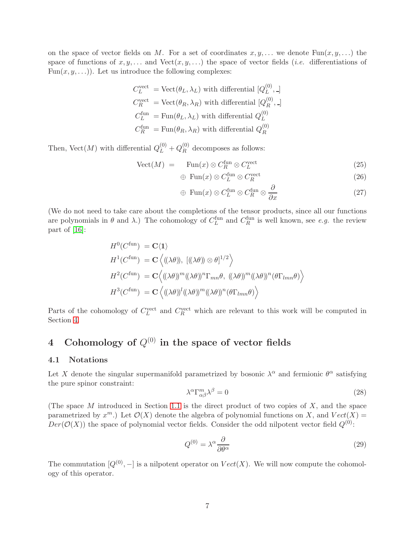on the space of vector fields on M. For a set of coordinates  $x, y, \ldots$  we denote Fun $(x, y, \ldots)$  the space of functions of  $x, y, \ldots$  and  $Vect(x, y, \ldots)$  the space of vector fields *(i.e.* differentiations of Fun $(x, y, \ldots)$ ). Let us introduce the following complexes:

$$
C_L^{\text{vect}} = \text{Vect}(\theta_L, \lambda_L) \text{ with differential } [Q_L^{(0)}, -]
$$
  

$$
C_R^{\text{vect}} = \text{Vect}(\theta_R, \lambda_R) \text{ with differential } [Q_R^{(0)}, -]
$$
  

$$
C_L^{\text{fun}} = \text{Fun}(\theta_L, \lambda_L) \text{ with differential } Q_L^{(0)}
$$
  

$$
C_R^{\text{fun}} = \text{Fun}(\theta_R, \lambda_R) \text{ with differential } Q_R^{(0)}
$$

Then, Vect $(M)$  with differential  $Q_L^{(0)} + Q_R^{(0)}$  $\mathcal{R}^{(0)}$  decomposes as follows:

$$
Vect(M) = \text{Fun}(x) \otimes C_R^{\text{fun}} \otimes C_L^{\text{vect}} \tag{25}
$$
\n
$$
\text{Fun}(x) \otimes C_R^{\text{fun}} \otimes C^{\text{vect}} \tag{26}
$$

$$
\oplus \operatorname{Fun}(x) \otimes C_L^{\operatorname{tun}} \otimes C_R^{\operatorname{vect}} \tag{26}
$$

$$
\oplus \operatorname{Fun}(x) \otimes C_L^{\text{fun}} \otimes C_R^{\text{fun}} \otimes \frac{\partial}{\partial x} \tag{27}
$$

(We do not need to take care about the completions of the tensor products, since all our functions are polynomials in  $\theta$  and  $\lambda$ .) The cohomology of  $C_L^{\text{fun}}$  and  $C_R^{\text{fun}}$  is well known, see *e.g.* the review part of [\[16\]](#page-22-12):

$$
H^{0}(C^{\text{fun}}) = \mathbf{C}\langle 1 \rangle
$$
  
\n
$$
H^{1}(C^{\text{fun}}) = \mathbf{C}\langle ((\lambda \theta)), [((\lambda \theta)) \otimes \theta]^{1/2} \rangle
$$
  
\n
$$
H^{2}(C^{\text{fun}}) = \mathbf{C}\langle ((\lambda \theta))^{m}((\lambda \theta))^{n} \Gamma_{mn} \theta, ((\lambda \theta))^{m}((\lambda \theta))^{n}(\theta \Gamma_{lmn} \theta) \rangle
$$
  
\n
$$
H^{3}(C^{\text{fun}}) = \mathbf{C}\langle ((\lambda \theta))^{l}((\lambda \theta))^{m}((\lambda \theta))^{n}(\theta \Gamma_{lmn} \theta) \rangle
$$

Parts of the cohomology of  $C_L^{\text{vect}}$  and  $C_R^{\text{vect}}$  which are relevant to this work will be computed in Section [4.](#page-7-0)

# <span id="page-7-0"></span>4 Cohomology of  $Q^{(0)}$  in the space of vector fields

#### <span id="page-7-1"></span>4.1 Notations

Let X denote the singular supermanifold parametrized by bosonic  $\lambda^{\alpha}$  and fermionic  $\theta^{\alpha}$  satisfying the pure spinor constraint:

<span id="page-7-2"></span>
$$
\lambda^{\alpha} \Gamma^{m}_{\alpha\beta} \lambda^{\beta} = 0 \tag{28}
$$

(The space  $M$  introduced in Section [1.1](#page-2-1) is the direct product of two copies of  $X$ , and the space parametrized by  $x^m$ .) Let  $\mathcal{O}(X)$  denote the algebra of polynomial functions on X, and  $Vect(X)$  $Der(\mathcal{O}(X))$  the space of polynomial vector fields. Consider the odd nilpotent vector field  $Q^{(0)}$ :

$$
Q^{(0)} = \lambda^{\alpha} \frac{\partial}{\partial \theta^{\alpha}}
$$
 (29)

The commutation  $[Q^{(0)}, -]$  is a nilpotent operator on  $Vect(X)$ . We will now compute the cohomology of this operator.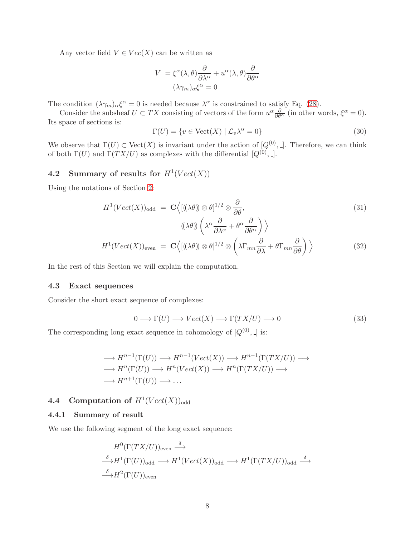Any vector field  $V \in Vec(X)$  can be written as

$$
V = \xi^{\alpha}(\lambda, \theta) \frac{\partial}{\partial \lambda^{\alpha}} + u^{\alpha}(\lambda, \theta) \frac{\partial}{\partial \theta^{\alpha}}
$$

$$
(\lambda \gamma_m)_{\alpha} \xi^{\alpha} = 0
$$

The condition  $(\lambda \gamma_m)_{\alpha} \xi^{\alpha} = 0$  is needed because  $\lambda^{\alpha}$  is constrained to satisfy Eq. [\(28\)](#page-7-2).

Consider the subsheaf  $U \subset TX$  consisting of vectors of the form  $u^{\alpha} \frac{\partial}{\partial \theta^{\alpha}}$  (in other words,  $\xi^{\alpha} = 0$ ). Its space of sections is:

$$
\Gamma(U) = \{ v \in \text{Vect}(X) \mid \mathcal{L}_v \lambda^\alpha = 0 \}
$$
\n(30)

We observe that  $\Gamma(U) \subset \text{Vect}(X)$  is invariant under the action of  $[Q^{(0)},]$ . Therefore, we can think of both  $\Gamma(U)$  and  $\Gamma(TX/U)$  as complexes with the differential  $[Q^{(0)},\Box]$ .

## <span id="page-8-0"></span>4.2 Summary of results for  $H^1(Vect(X))$

Using the notations of Section [2:](#page-5-2)

$$
H^{1}(Vect(X))_{\text{odd}} = \mathbf{C} \Big\langle [((\lambda \theta)) \otimes \theta]^{1/2} \otimes \frac{\partial}{\partial \theta},
$$
  

$$
((\lambda \theta)) \left( \lambda^{\alpha} \frac{\partial}{\partial \lambda^{\alpha}} + \theta^{\alpha} \frac{\partial}{\partial \theta^{\alpha}} \right) \Big\rangle
$$
  

$$
H^{1}(Vect(X))_{\text{even}} = \mathbf{C} \Big\langle [((\lambda \theta)) \otimes \theta]^{1/2} \otimes \left( \lambda \Gamma_{mn} \frac{\partial}{\partial \lambda} + \theta \Gamma_{mn} \frac{\partial}{\partial \theta} \right) \Big\rangle
$$
 (32)

In the rest of this Section we will explain the computation.

### <span id="page-8-1"></span>4.3 Exact sequences

Consider the short exact sequence of complexes:

$$
0 \longrightarrow \Gamma(U) \longrightarrow Vect(X) \longrightarrow \Gamma(TX/U) \longrightarrow 0
$$
\n(33)

The corresponding long exact sequence in cohomology of  $[Q^{(0)},]$  is:

$$
\longrightarrow H^{n-1}(\Gamma(U)) \longrightarrow H^{n-1}(Vect(X)) \longrightarrow H^{n-1}(\Gamma(TX/U)) \longrightarrow
$$
  

$$
\longrightarrow H^{n}(\Gamma(U)) \longrightarrow H^{n}(Vect(X)) \longrightarrow H^{n}(\Gamma(TX/U)) \longrightarrow
$$
  

$$
\longrightarrow H^{n+1}(\Gamma(U)) \longrightarrow \dots
$$

# <span id="page-8-3"></span><span id="page-8-2"></span>**4.4** Computation of  $H^1(Vect(X))_{odd}$

### 4.4.1 Summary of result

We use the following segment of the long exact sequence:

$$
H^{0}(\Gamma(TX/U))_{\text{even}} \xrightarrow{\delta} \n\stackrel{\delta}{\longrightarrow} H^{1}(\Gamma(U))_{\text{odd}} \longrightarrow H^{1}(Vect(X))_{\text{odd}} \longrightarrow H^{1}(\Gamma(TX/U))_{\text{odd}} \xrightarrow{\delta} \n\stackrel{\delta}{\longrightarrow} H^{2}(\Gamma(U))_{\text{even}}
$$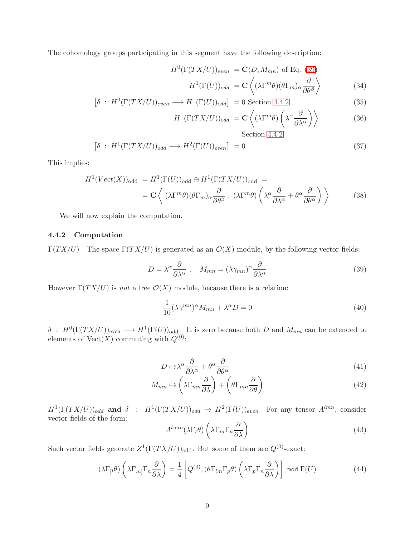The cohomology groups participating in this segment have the following description:

$$
H^{0}(\Gamma(TX/U))_{even} = \mathbf{C}\langle D, M_{mn}\rangle \text{ of Eq. (39)}
$$

$$
H^{1}(\Gamma(U))_{odd} = \mathbf{C}\left\langle (\lambda \Gamma^{m}\theta)(\theta \Gamma_{m})_{\alpha} \frac{\partial}{\partial \theta^{\beta}} \right\rangle \tag{34}
$$

$$
\left[\delta \,:\, H^0(\Gamma(TX/U))_{even} \longrightarrow H^1(\Gamma(U))_{odd}\right] \,=\, 0 \text{ Section 4.4.2}
$$
\n
$$
(35)
$$

$$
H^{1}(\Gamma(TX/U))_{odd} = \mathbf{C}\left\langle (\lambda \Gamma^{m}\theta) \left( \lambda^{\alpha} \frac{\partial}{\partial \lambda^{\alpha}} \right) \right\rangle \tag{36}
$$

<span id="page-9-8"></span>Section [4.4.2](#page-9-3)

$$
\left[\delta \ : H^1(\Gamma(TX/U))_{odd} \longrightarrow H^2(\Gamma(U))_{even}\right] = 0 \tag{37}
$$

This implies:

$$
H^{1}(Vect(X))_{\text{odd}} = H^{1}(\Gamma(U))_{\text{odd}} \oplus H^{1}(\Gamma(TX/U))_{\text{odd}} =
$$
  
= 
$$
\mathbf{C} \left\langle (\lambda \Gamma^{m} \theta)(\theta \Gamma_{m})_{\alpha} \frac{\partial}{\partial \theta^{\beta}}, (\lambda \Gamma^{m} \theta) \left( \lambda^{\alpha} \frac{\partial}{\partial \lambda^{\alpha}} + \theta^{\alpha} \frac{\partial}{\partial \theta^{\alpha}} \right) \right\rangle
$$
 (38)

We will now explain the computation.

### <span id="page-9-0"></span>4.4.2 Computation

Γ(TX/U) The space Γ(TX/U) is generated as an  $\mathcal{O}(X)$ -module, by the following vector fields:

<span id="page-9-1"></span>
$$
D = \lambda^{\alpha} \frac{\partial}{\partial \lambda^{\alpha}}, \quad M_{mn} = (\lambda \gamma_{mn})^{\alpha} \frac{\partial}{\partial \lambda^{\alpha}}
$$
(39)

However  $\Gamma(TX/U)$  is *not* a free  $\mathcal{O}(X)$  module, because there is a relation:

$$
\frac{1}{10} (\lambda \gamma^{mn})^{\alpha} M_{mn} + \lambda^{\alpha} D = 0 \tag{40}
$$

<span id="page-9-2"></span> $\delta$ :  $H^0(\Gamma(TX/U))_{\text{even}} \longrightarrow H^1(\Gamma(U))_{\text{odd}}$  It is zero because both D and  $M_{mn}$  can be extended to elements of  $Vect(X)$  commuting with  $Q^{(0)}$ :

<span id="page-9-6"></span>
$$
D \mapsto \lambda^{\alpha} \frac{\partial}{\partial \lambda^{\alpha}} + \theta^{\alpha} \frac{\partial}{\partial \theta^{\alpha}} \tag{41}
$$

$$
M_{mn} \mapsto \left(\lambda \Gamma_{mn} \frac{\partial}{\partial \lambda}\right) + \left(\theta \Gamma_{mn} \frac{\partial}{\partial \theta}\right) \tag{42}
$$

<span id="page-9-3"></span> $H^1(\Gamma(TX/U))_{odd}$  and  $\delta$  :  $H^1(\Gamma(TX/U))_{odd} \to H^2(\Gamma(U))_{even}$  For any tensor  $A^{lmn}$ , consider vector fields of the form:

<span id="page-9-7"></span><span id="page-9-4"></span>
$$
A^{l,mn}(\lambda \Gamma_l \theta) \left(\lambda \Gamma_m \Gamma_n \frac{\partial}{\partial \lambda}\right) \tag{43}
$$

Such vector fields generate  $Z^1(\Gamma(TX/U))_{odd}$ . But some of them are  $Q^{(0)}$ -exact:

<span id="page-9-5"></span>
$$
(\lambda \Gamma_{[l} \theta) \left( \lambda \Gamma_{m]} \Gamma_{n} \frac{\partial}{\partial \lambda} \right) = \frac{1}{4} \left[ Q^{(0)}, (\theta \Gamma_{lm} \Gamma_{p} \theta) \left( \lambda \Gamma_{p} \Gamma_{n} \frac{\partial}{\partial \lambda} \right) \right] \text{ mod } \Gamma(U)
$$
(44)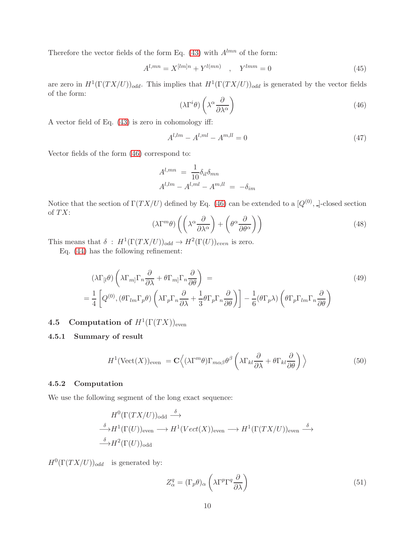Therefore the vector fields of the form Eq. [\(43\)](#page-9-4) with  $A^{lmn}$  of the form:

$$
A^{l,mn} = X^{[lm]n} + Y^{l(mn)} \quad , \quad Y^{lmm} = 0 \tag{45}
$$

are zero in  $H^1(\Gamma(TX/U))_{odd}$ . This implies that  $H^1(\Gamma(TX/U))_{odd}$  is generated by the vector fields of the form:

<span id="page-10-3"></span>
$$
(\lambda \Gamma^i \theta) \left( \lambda^\alpha \frac{\partial}{\partial \lambda^\alpha} \right) \tag{46}
$$

A vector field of Eq. [\(43\)](#page-9-4) is zero in cohomology iff:

<span id="page-10-4"></span>
$$
A^{l,lm} - A^{l,ml} - A^{m,ll} = 0
$$
\n(47)

Vector fields of the form [\(46\)](#page-10-3) correspond to:

$$
A^{l,mn} = \frac{1}{10} \delta_{il} \delta_{mn}
$$
  

$$
A^{l,lm} - A^{l,ml} - A^{m,ll} = -\delta_{im}
$$

Notice that the section of  $\Gamma(TX/U)$  defined by Eq. [\(46\)](#page-10-3) can be extended to a  $[Q^{(0)},$ ]-closed section of  $TX$ :

$$
(\lambda \Gamma^m \theta) \left( \left( \lambda^{\alpha} \frac{\partial}{\partial \lambda^{\alpha}} \right) + \left( \theta^{\alpha} \frac{\partial}{\partial \theta^{\alpha}} \right) \right)
$$
(48)

This means that  $\delta : H^1(\Gamma(TX/U))_{odd} \to H^2(\Gamma(U))_{even}$  is zero.

Eq. [\(44\)](#page-9-5) has the following refinement:

$$
(\lambda \Gamma_{[l} \theta) \left( \lambda \Gamma_{m]} \Gamma_{n} \frac{\partial}{\partial \lambda} + \theta \Gamma_{m]} \Gamma_{n} \frac{\partial}{\partial \theta} \right) =
$$
\n
$$
= \frac{1}{4} \left[ Q^{(0)}, (\theta \Gamma_{lm} \Gamma_{p} \theta) \left( \lambda \Gamma_{p} \Gamma_{n} \frac{\partial}{\partial \lambda} + \frac{1}{3} \theta \Gamma_{p} \Gamma_{n} \frac{\partial}{\partial \theta} \right) \right] - \frac{1}{6} (\theta \Gamma_{p} \lambda) \left( \theta \Gamma_{p} \Gamma_{lm} \Gamma_{n} \frac{\partial}{\partial \theta} \right)
$$
\n(49)

# <span id="page-10-1"></span><span id="page-10-0"></span>**4.5** Computation of  $H^1(\Gamma(TX))_{\text{even}}$

### 4.5.1 Summary of result

$$
H^{1}(\text{Vect}(X))_{\text{even}} = \mathbf{C}\left\langle (\lambda \Gamma^{m}\theta)\Gamma_{m\alpha\beta}\theta^{\beta}\left(\lambda\Gamma_{kl}\frac{\partial}{\partial\lambda}+\theta\Gamma_{kl}\frac{\partial}{\partial\theta}\right)\right\rangle
$$
(50)

### <span id="page-10-2"></span>4.5.2 Computation

We use the following segment of the long exact sequence:

$$
H^{0}(\Gamma(TX/U))_{odd} \xrightarrow{\delta} \n\stackrel{\delta}{\longrightarrow} H^{1}(\Gamma(U))_{even} \longrightarrow H^{1}(Vect(X))_{even} \longrightarrow H^{1}(\Gamma(TX/U))_{even} \xrightarrow{\delta} \n\stackrel{\delta}{\longrightarrow} H^{2}(\Gamma(U))_{odd}
$$

 $H^0(\Gamma(TX/U))_{odd}$  is generated by:

$$
Z_{\alpha}^{q} = (\Gamma_{p}\theta)_{\alpha} \left(\lambda \Gamma^{p} \Gamma^{q} \frac{\partial}{\partial \lambda}\right)
$$
\n(51)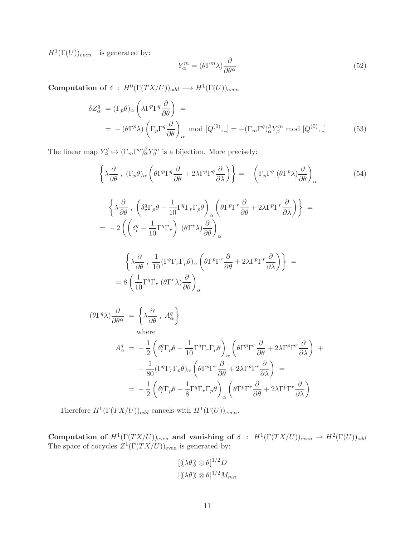$H^1(\Gamma(U))_{even}$  is generated by:

<span id="page-11-0"></span>
$$
Y_{\alpha}^{m} = (\theta \Gamma^{m} \lambda) \frac{\partial}{\partial \theta^{\alpha}}
$$
\n(52)

 $\textbf{Computation of} \; \delta \; : \; H^0(\Gamma(TX/U))_{odd} \longrightarrow H^1(\Gamma(U))_{even}$ 

$$
\delta Z_{\alpha}^{q} = (\Gamma_{p} \theta)_{\alpha} \left( \lambda \Gamma^{p} \Gamma^{q} \frac{\partial}{\partial \theta} \right) =
$$
  
=  $-(\theta \Gamma^{p} \lambda) \left( \Gamma_{p} \Gamma^{q} \frac{\partial}{\partial \theta} \right)_{\alpha}$  mod  $[Q^{(0)}, \Delta] = -(\Gamma_{m} \Gamma^{q})_{\alpha}^{\beta} Y_{\beta}^{m}$  mod  $[Q^{(0)}, \Delta]$  (53)

The linear map  $Y^q_\alpha \mapsto (\Gamma_m \Gamma^q)_\alpha^{\beta} Y^m_\beta$  is a bijection. More precisely:

$$
\left\{\lambda \frac{\partial}{\partial \theta}, (\Gamma_p \theta)_\alpha \left(\theta \Gamma^p \Gamma^q \frac{\partial}{\partial \theta} + 2\lambda \Gamma^p \Gamma^q \frac{\partial}{\partial \lambda}\right)\right\} = -\left(\Gamma_p \Gamma^q \left(\theta \Gamma^p \lambda\right) \frac{\partial}{\partial \theta}\right)_\alpha \tag{54}
$$

$$
\left\{\lambda \frac{\partial}{\partial \theta} , \left(\delta_r^q \Gamma_p \theta - \frac{1}{10} \Gamma^q \Gamma_r \Gamma_p \theta\right)_{\alpha} \left(\theta \Gamma^p \Gamma^r \frac{\partial}{\partial \theta} + 2\lambda \Gamma^p \Gamma^r \frac{\partial}{\partial \lambda}\right)\right\} =
$$
  
= 
$$
-2 \left( \left(\delta_r^q - \frac{1}{10} \Gamma^q \Gamma_r \right) (\theta \Gamma^r \lambda) \frac{\partial}{\partial \theta}\right)_{\alpha}
$$
  

$$
\left\{\lambda \frac{\partial}{\partial \theta} , \frac{1}{10} (\Gamma^q \Gamma_r \Gamma_p \theta)_{\alpha} \left(\theta \Gamma^p \Gamma^r \frac{\partial}{\partial \theta} + 2\lambda \Gamma^p \Gamma^r \frac{\partial}{\partial \lambda}\right)\right\} =
$$
  
= 
$$
8 \left( \frac{1}{10} \Gamma^q \Gamma_r (\theta \Gamma^r \lambda) \frac{\partial}{\partial \theta}\right)_{\alpha}
$$

$$
\begin{split}\n(\theta \Gamma^{q} \lambda) \frac{\partial}{\partial \theta^{\alpha}} &= \left\{ \lambda \frac{\partial}{\partial \theta} \, , \, A^{q}_{\alpha} \right\} \\
\text{where} \\
A^{q}_{\alpha} &= -\frac{1}{2} \left( \delta^{q}_{r} \Gamma_{p} \theta - \frac{1}{10} \Gamma^{q} \Gamma_{r} \Gamma_{p} \theta \right)_{\alpha} \left( \theta \Gamma^{p} \Gamma^{r} \frac{\partial}{\partial \theta} + 2 \lambda \Gamma^{p} \Gamma^{r} \frac{\partial}{\partial \lambda} \right) \right. \\
&\left. + \frac{1}{80} (\Gamma^{q} \Gamma_{r} \Gamma_{p} \theta)_{\alpha} \left( \theta \Gamma^{p} \Gamma^{r} \frac{\partial}{\partial \theta} + 2 \lambda \Gamma^{p} \Gamma^{r} \frac{\partial}{\partial \lambda} \right) \right. \\
&= -\frac{1}{2} \left( \delta^{q}_{r} \Gamma_{p} \theta - \frac{1}{8} \Gamma^{q} \Gamma_{r} \Gamma_{p} \theta \right)_{\alpha} \left( \theta \Gamma^{p} \Gamma^{r} \frac{\partial}{\partial \theta} + 2 \lambda \Gamma^{p} \Gamma^{r} \frac{\partial}{\partial \lambda} \right)\n\end{split}
$$

Therefore  $H^0(\Gamma(TX/U))_{odd}$  cancels with  $H^1(\Gamma(U))_{even}$ .

Computation of  $H^1(\Gamma(TX/U))_{even}$  and vanishing of  $\delta$  :  $H^1(\Gamma(TX/U))_{even} \to H^2(\Gamma(U))_{odd}$ The space of cocycles  $Z^1(\Gamma(TX/U))_{\text{even}}$  is generated by:

$$
[((\lambda \theta)) \otimes \theta]^{1/2}D
$$

$$
[((\lambda \theta)) \otimes \theta]^{1/2}M_{mn}
$$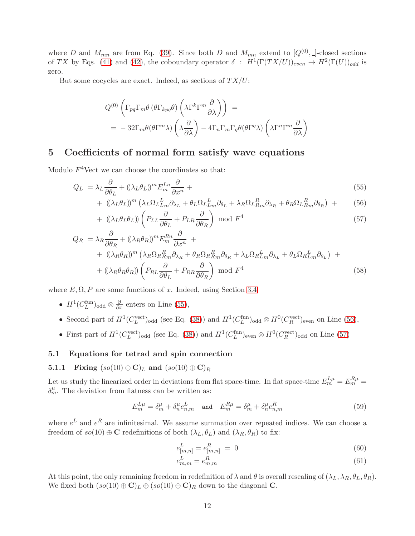where D and  $M_{mn}$  are from Eq. [\(39\)](#page-9-1). Since both D and  $M_{mn}$  extend to  $[Q^{(0)},]$ -closed sections of TX by Eqs. [\(41\)](#page-9-6) and [\(42\)](#page-9-7), the coboundary operator  $\delta$  :  $H^1(\Gamma(TX/U))_{even} \to H^2(\Gamma(U))_{odd}$  is zero.

But some cocycles are exact. Indeed, as sections of  $TX/U$ :

$$
Q^{(0)}\left(\Gamma_{pq}\Gamma_{m}\theta\left(\theta\Gamma_{kpq}\theta\right)\left(\lambda\Gamma^{k}\Gamma^{m}\frac{\partial}{\partial\lambda}\right)\right) =
$$
  
= -32 $\Gamma_{m}\theta(\theta\Gamma^{m}\lambda)\left(\lambda\frac{\partial}{\partial\lambda}\right)$  - 4 $\Gamma_{n}\Gamma_{m}\Gamma_{q}\theta(\theta\Gamma^{q}\lambda)\left(\lambda\Gamma^{n}\Gamma^{m}\frac{\partial}{\partial\lambda}\right)$ 

# <span id="page-12-0"></span>5 Coefficients of normal form satisfy wave equations

Modulo  $F^4$ Vect we can choose the coordinates so that:

$$
Q_L = \lambda_L \frac{\partial}{\partial \theta_L} + ((\lambda_L \theta_L))^m E_m^{Ln} \frac{\partial}{\partial x^n} + \tag{55}
$$

<span id="page-12-5"></span><span id="page-12-4"></span><span id="page-12-3"></span>+ 
$$
((\lambda_L \theta_L))^m (\lambda_L \Omega_L L_m^L \partial_{\lambda_L} + \theta_L \Omega_L L_m^L \partial_{\theta_L} + \lambda_R \Omega_L R_m^R \partial_{\lambda_R} + \theta_R \Omega_L R_m^R \partial_{\theta_R})
$$
 +  $(56)$ 

+ 
$$
\left(\left(\lambda_L \theta_L \theta_L\right)\right) \left(P_{LL} \frac{\partial}{\partial \theta_L} + P_{LR} \frac{\partial}{\partial \theta_R}\right) \text{ mod } F^4
$$
 (57)

$$
Q_R = \lambda_R \frac{\partial}{\partial \theta_R} + ((\lambda_R \theta_R))^m E_m^{Rn} \frac{\partial}{\partial x^n} +
$$
  
+ 
$$
((\lambda_R \theta_R))^m (\lambda_R \Omega_R R_m^R \partial_{\lambda_R} + \theta_R \Omega_R R_m^R \partial_{\theta_R} + \lambda_L \Omega_R L_m^L \partial_{\lambda_L} + \theta_L \Omega_R L_m^L \partial_{\theta_L}) +
$$
  
+ 
$$
((\lambda_R \theta_R \theta_R)) \left( P_{RL} \frac{\partial}{\partial \theta_L} + P_{RR} \frac{\partial}{\partial \theta_R} \right) \text{ mod } F^4
$$
 (58)

where  $E, \Omega, P$  are some functions of x. Indeed, using Section [3.4:](#page-6-4)

- $H^1(C_L^{\text{fun}})_{\text{odd}} \otimes \frac{\partial}{\partial x}$  enters on Line [\(55\)](#page-12-3),
- Second part of  $H^1(C_L^{\text{vect}})_{\text{odd}}$  (see Eq. [\(38\)](#page-9-8)) and  $H^1(C_L^{\text{fun}})_{\text{odd}} \otimes H^0(C_R^{\text{vect}})_{\text{even}}$  on Line [\(56\)](#page-12-4),
- First part of  $H^1(C_L^{\text{vect}})_{\text{odd}}$  (see Eq. [\(38\)](#page-9-8)) and  $H^1(C_L^{\text{fun}})_{\text{even}} \otimes H^0(C_R^{\text{vect}})_{\text{odd}}$  on Line [\(57\)](#page-12-5)

### <span id="page-12-2"></span><span id="page-12-1"></span>5.1 Equations for tetrad and spin connection

### 5.1.1 Fixing  $(so(10) \oplus C)_L$  and  $(so(10) \oplus C)_R$

Let us study the linearized order in deviations from flat space-time. In flat space-time  $E_m^{L\mu} = E_m^{R\mu} =$  $\delta_m^{\mu}$ . The deviation from flatness can be written as:

$$
E_m^{L\mu} = \delta_m^{\mu} + \delta_n^{\mu} e_{n,m}^{L} \quad \text{and} \quad E_m^{R\mu} = \delta_m^{\mu} + \delta_n^{\mu} e_{n,m}^{R} \tag{59}
$$

where  $e^L$  and  $e^R$  are infinitesimal. We assume summation over repeated indices. We can choose a freedom of  $so(10) \oplus \mathbf{C}$  redefinitions of both  $(\lambda_L, \theta_L)$  and  $(\lambda_R, \theta_R)$  to fix:

$$
e_{[m,n]}^{L} = e_{[m,n]}^{R} = 0 \tag{60}
$$

<span id="page-12-7"></span><span id="page-12-6"></span>
$$
e_{m,m}^L = e_{m,m}^R \tag{61}
$$

At this point, the only remaining freedom in redefinition of  $\lambda$  and  $\theta$  is overall rescaling of  $(\lambda_L, \lambda_R, \theta_L, \theta_R)$ . We fixed both  $(s\omicron(10) \oplus \mathbf{C})_L \oplus (s\omicron(10) \oplus \mathbf{C})_R$  down to the diagonal **C**.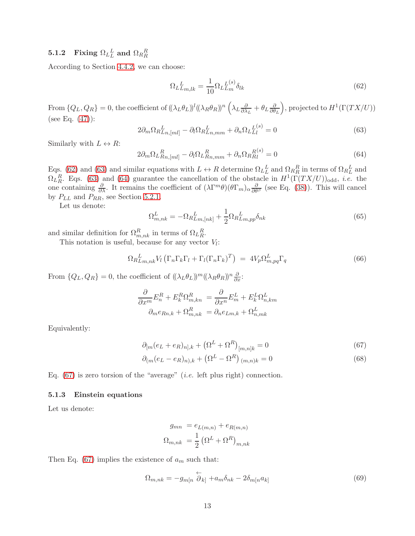# <span id="page-13-0"></span> $\textbf{5.1.2} \quad \textbf{Fixing} \,\, \Omega_L^{\phantom{L}L} \textbf{ and } \, \Omega_R^{\phantom{R}R}$

According to Section [4.4.2,](#page-9-3) we can choose:

<span id="page-13-2"></span>
$$
\Omega_L L_{m,lk} = \frac{1}{10} \Omega_L L_m^{(s)} \delta_{lk} \tag{62}
$$

From  $\{Q_L, Q_R\} = 0$ , the coefficient of  $((\lambda_L \theta_L))^l ((\lambda_R \theta_R))^n (\lambda_L \frac{\partial}{\partial \lambda_L})^l$  $\frac{\partial}{\partial \lambda_L} + \theta_L \frac{\partial}{\partial \theta}$  $\partial \theta_L$ ), projected to  $H^1(\Gamma(TX/U))$ (see Eq. [\(47\)](#page-10-4)):

<span id="page-13-3"></span>
$$
2\partial_m \Omega_R^L_{Ln,[ml]} - \partial_l \Omega_R^L_{Ln,mm} + \partial_n \Omega_L^{L(s)}_{LI} = 0
$$
\n(63)

Similarly with  $L \leftrightarrow R$ :

<span id="page-13-4"></span>
$$
2\partial_m \Omega_L_{Rn,[ml]}^R - \partial_l \Omega_L_{Rn,mm}^R + \partial_n \Omega_R_{Rl}^{R(s)} = 0
$$
\n(64)

Eqs. [\(62\)](#page-13-2) and [\(63\)](#page-13-3) and similar equations with  $L \leftrightarrow R$  determine  $\Omega_L L$  and  $\Omega_R R$  in terms of  $\Omega_R L$  and  $\Omega_L_R^R$ . Eqs. [\(63\)](#page-13-3) and [\(64\)](#page-13-4) guarantee the cancellation of the obstacle in  $H^1(\Gamma(TX/U))_{odd}$ , *i.e.* the one containing  $\frac{\partial}{\partial \lambda}$ . It remains the coefficient of  $(\lambda \Gamma^m \theta)(\theta \Gamma_m)_{\alpha} \frac{\partial}{\partial \theta^{\beta}}$  (see Eq. [\(38\)](#page-9-8)). This will cancel by  $P_{LL}$  and  $P_{RR}$ , see Section [5.2.1.](#page-15-2)

Let us denote:

$$
\Omega_{m,nk}^L = -\Omega_R L_{m,[nk]}^L + \frac{1}{2} \Omega_R L_{m,pp} \delta_{nk} \tag{65}
$$

and similar definition for  $\Omega_{m,nk}^R$  in terms of  $\Omega_{LR}^R$ .

This notation is useful, because for any vector  $V_l$ :

$$
\Omega_{R}{}_{Lm,nk}^{L}V_l\left(\Gamma_n\Gamma_k\Gamma_l+\Gamma_l(\Gamma_n\Gamma_k)^T\right) = 4V_p\Omega_{m,pq}^{L}\Gamma_q
$$
\n(66)

From  $\{Q_L, Q_R\} = 0$ , the coefficient of  $((\lambda_L \theta_L))^m ((\lambda_R \theta_R))^n \frac{\partial}{\partial x}$ :

$$
\frac{\partial}{\partial x^m} E_n^R + E_k^R \Omega_{m,kn}^R = \frac{\partial}{\partial x^n} E_m^L + E_k^L \Omega_{n,km}^L
$$

$$
\partial_m e_{Rn,k} + \Omega_{m,nk}^R = \partial_n e_{Lm,k} + \Omega_{n,mk}^L
$$

Equivalently:

$$
\partial_{[m}(e_L + e_R)_{n],k} + (\Omega^L + \Omega^R)_{[m,n]k} = 0 \tag{67}
$$

$$
\partial_{(m}(e_L - e_R)_{n),k} + (\Omega^L - \Omega^R)_{(m,n)k} = 0
$$
\n(68)

Eq. [\(67\)](#page-13-5) is zero torsion of the "average" (*i.e.* left plus right) connection.

### <span id="page-13-1"></span>5.1.3 Einstein equations

Let us denote:

<span id="page-13-6"></span><span id="page-13-5"></span>
$$
g_{mn} = e_{L(m,n)} + e_{R(m,n)}
$$

$$
\Omega_{m,nk} = \frac{1}{2} (\Omega^L + \Omega^R)_{m,nk}
$$

Then Eq. [\(67\)](#page-13-5) implies the existence of  $a_m$  such that:

$$
\Omega_{m,nk} = -g_{m[n} \stackrel{\leftarrow}{\partial}_{k]} + a_m \delta_{nk} - 2\delta_{m[n} a_{k]}
$$
\n(69)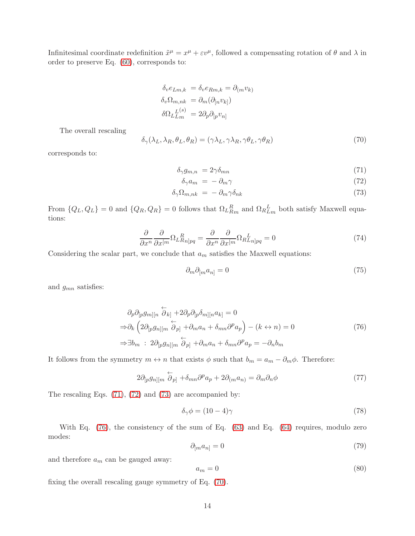Infinitesimal coordinate redefinition  $\tilde{x}^{\mu} = x^{\mu} + \varepsilon v^{\mu}$ , followed a compensating rotation of  $\theta$  and  $\lambda$  in order to preserve Eq. [\(60\)](#page-12-6), corresponds to:

$$
\delta_v e_{Lm,k} = \delta_v e_{Rm,k} = \partial_{(m} v_{k)}
$$

$$
\delta_v \Omega_{m,nk} = \partial_m (\partial_{[n} v_{k]})
$$

$$
\delta \Omega_{Lm}^{(s)} = 2 \partial_p \partial_{[p} v_{n]}
$$

The overall rescaling

<span id="page-14-4"></span>
$$
\delta_{\gamma}(\lambda_L, \lambda_R, \theta_L, \theta_R) = (\gamma \lambda_L, \gamma \lambda_R, \gamma \theta_L, \gamma \theta_R)
$$
\n(70)

corresponds to:

$$
\delta_{\gamma} g_{m,n} = 2\gamma \delta_{mn} \tag{71}
$$

<span id="page-14-2"></span><span id="page-14-1"></span><span id="page-14-0"></span>
$$
\delta_{\gamma} a_m = -\partial_m \gamma \tag{72}
$$

$$
\delta_{\gamma} \Omega_{m,nk} = -\partial_m \gamma \delta_{nk} \tag{73}
$$

From  $\{Q_L, Q_L\} = 0$  and  $\{Q_R, Q_R\} = 0$  follows that  $\Omega_L R_{Rm}$  and  $\Omega_R L_m$  both satisfy Maxwell equations:

<span id="page-14-5"></span>
$$
\frac{\partial}{\partial x^n} \frac{\partial}{\partial x^{[m}} \Omega_L_{Rn]pq}^R = \frac{\partial}{\partial x^n} \frac{\partial}{\partial x^{[m}} \Omega_R_{Ln]pq}^L = 0 \tag{74}
$$

Considering the scalar part, we conclude that  $a_m$  satisfies the Maxwell equations:

<span id="page-14-3"></span>
$$
\partial_m \partial_{[m} a_{n]} = 0 \tag{75}
$$

and  $g_{mn}$  satisfies:

$$
\partial_p \partial_{[p} g_{m][n} \stackrel{\leftarrow}{\partial}_{k]} + 2 \partial_p \partial_{[p} \delta_{m][n} a_{k]} = 0
$$
  
\n
$$
\Rightarrow \partial_k \left( 2 \partial_{[p} g_{n][m} \stackrel{\leftarrow}{\partial}_{p]} + \partial_m a_n + \delta_{mn} \partial^p a_p \right) - (k \leftrightarrow n) = 0
$$
  
\n
$$
\Rightarrow \exists b_m \; : \; 2 \partial_{[p} g_{n][m} \stackrel{\leftarrow}{\partial}_{p]} + \partial_m a_n + \delta_{mn} \partial^p a_p = -\partial_n b_m
$$
\n(76)

It follows from the symmetry  $m \leftrightarrow n$  that exists  $\phi$  such that  $b_m = a_m - \partial_m \phi$ . Therefore:

$$
2\partial_{[p}g_{n][m}\stackrel{\leftarrow}{\partial}_{p]} + \delta_{mn}\partial^p a_p + 2\partial_{(m}a_{n)} = \partial_m\partial_n\phi\tag{77}
$$

The rescaling Eqs. [\(71\)](#page-14-0), [\(72\)](#page-14-1) and [\(73\)](#page-14-2) are accompanied by:

$$
\delta_{\gamma}\phi = (10 - 4)\gamma \tag{78}
$$

With Eq.  $(76)$ , the consistency of the sum of Eq.  $(63)$  and Eq.  $(64)$  requires, modulo zero modes:

$$
\partial_{[m} a_{n]} = 0 \tag{79}
$$

and therefore  $a_m$  can be gauged away:

$$
a_m = 0 \tag{80}
$$

fixing the overall rescaling gauge symmetry of Eq. [\(70\)](#page-14-4).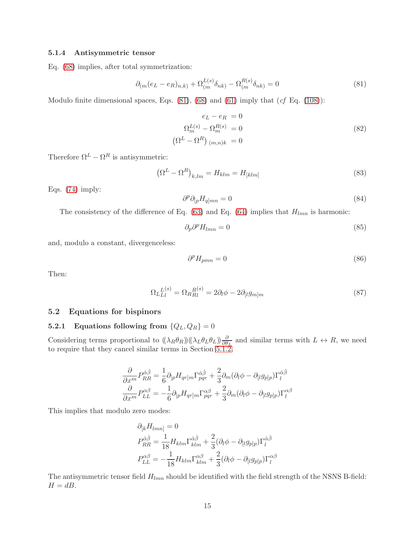#### <span id="page-15-0"></span>5.1.4 Antisymmetric tensor

Eq. [\(68\)](#page-13-6) implies, after total symmetrization:

<span id="page-15-3"></span>
$$
\partial_{(m}(e_L - e_R)_{n,k)} + \Omega_{(m}^{L(s)} \delta_{nk)} - \Omega_{(m}^{R(s)} \delta_{nk)} = 0
$$
\n(81)

Modulo finite dimensional spaces, Eqs. [\(81\)](#page-15-3), [\(68\)](#page-13-6) and [\(61\)](#page-12-7) imply that (*cf* Eq. [\(108\)](#page-21-3)):

$$
e_L - e_R = 0
$$
  
\n
$$
\Omega_m^{L(s)} - \Omega_m^{R(s)} = 0
$$
  
\n
$$
(\Omega^L - \Omega^R)_{(m,n)k} = 0
$$
\n(82)

Therefore  $\Omega^L - \Omega^R$  is antisymmetric:

$$
\left(\Omega^L - \Omega^R\right)_{k,lm} = H_{klm} = H_{[klm]}
$$
\n(83)

Eqs. [\(74\)](#page-14-5) imply:

$$
\partial^p \partial_{[p} H_{q]mn} = 0 \tag{84}
$$

The consistency of the difference of Eq. [\(63\)](#page-13-3) and Eq. [\(64\)](#page-13-4) implies that  $H_{lmn}$  is harmonic:

$$
\partial_p \partial^p H_{lmn} = 0 \tag{85}
$$

and, modulo a constant, divergenceless:

$$
\partial^p H_{pmn} = 0 \tag{86}
$$

Then:

$$
\Omega_L_{Ll}^{(s)} = \Omega_R_{Rl}^{(s)} = 2\partial_l \phi - 2\partial_{[l}g_{m]m} \tag{87}
$$

#### <span id="page-15-2"></span><span id="page-15-1"></span>5.2 Equations for bispinors

## 5.2.1 Equations following from  $\{Q_L, Q_R\} = 0$

Considering terms proportional to  $((\lambda_R \theta_R))( (\lambda_L \theta_L \theta_L)) \frac{\partial}{\partial \theta_L}$  and similar terms with  $L \leftrightarrow R$ , we need to require that they cancel similar terms in Section [5.1.2.](#page-13-0)

$$
\frac{\partial}{\partial x^m} P_{RR}^{\hat{\alpha}\hat{\beta}} = \frac{1}{6} \partial_{[p} H_{qr]m} \Gamma_{pqr}^{\hat{\alpha}\hat{\beta}} + \frac{2}{3} \partial_m (\partial_l \phi - \partial_{[l} g_{p]p}) \Gamma_l^{\hat{\alpha}\hat{\beta}}
$$

$$
\frac{\partial}{\partial x^m} P_{LL}^{\alpha\beta} = -\frac{1}{6} \partial_{[p} H_{qr]m} \Gamma_{pqr}^{\alpha\beta} + \frac{2}{3} \partial_m (\partial_l \phi - \partial_{[l} g_{p]p}) \Gamma_l^{\alpha\beta}
$$

This implies that modulo zero modes:

$$
\partial_{[k} H_{lmn]} = 0
$$
  
\n
$$
P_{RR}^{\hat{\alpha}\hat{\beta}} = \frac{1}{18} H_{klm} \Gamma_{klm}^{\hat{\alpha}\hat{\beta}} + \frac{2}{3} (\partial_l \phi - \partial_{[l} g_{p]p}) \Gamma_l^{\hat{\alpha}\hat{\beta}}
$$
  
\n
$$
P_{LL}^{\alpha\beta} = -\frac{1}{18} H_{klm} \Gamma_{klm}^{\alpha\beta} + \frac{2}{3} (\partial_l \phi - \partial_{[l} g_{p]p}) \Gamma_l^{\alpha\beta}
$$

The antisymmetric tensor field  $H_{lmn}$  should be identified with the field strength of the NSNS B-field:  $H = dB$ .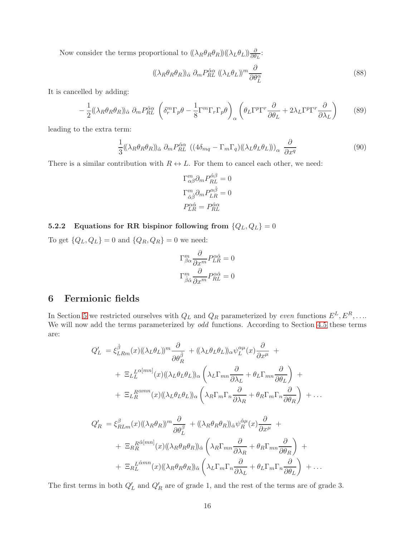Now consider the terms proportional to  $((\lambda_R \theta_R \theta_R))(\lambda_L \theta_L) \frac{\partial}{\partial \theta_L}$ :

$$
((\lambda_R \theta_R \theta_R))_{\hat{\alpha}} \partial_m P_{RL}^{\hat{\alpha}\alpha} ((\lambda_L \theta_L))^m \frac{\partial}{\partial \theta_L^{\alpha}}
$$
\n
$$
(88)
$$

It is cancelled by adding:

$$
-\frac{1}{2}((\lambda_R \theta_R \theta_R))_{\hat{\alpha}} \partial_m P_{RL}^{\hat{\alpha}\alpha} \left(\delta_r^m \Gamma_p \theta - \frac{1}{8} \Gamma^m \Gamma_r \Gamma_p \theta\right)_{\alpha} \left(\theta_L \Gamma^p \Gamma^r \frac{\partial}{\partial \theta_L} + 2\lambda_L \Gamma^p \Gamma^r \frac{\partial}{\partial \lambda_L}\right) \tag{89}
$$

leading to the extra term:

$$
\frac{1}{3}((\lambda_R \theta_R \theta_R))_{\hat{\alpha}} \partial_m P_{RL}^{\hat{\alpha}\alpha} ((4\delta_{mq} - \Gamma_m \Gamma_q)((\lambda_L \theta_L \theta_L)))_{\alpha} \frac{\partial}{\partial x^q}
$$
(90)

There is a similar contribution with  $R \leftrightarrow L$ . For them to cancel each other, we need:

$$
\Gamma^m_{\alpha\beta}\partial_m P^{\hat{\alpha}\hat{\beta}}_{RL} = 0
$$

$$
\Gamma^m_{\hat{\alpha}\hat{\beta}}\partial_m P^{\alpha\hat{\beta}}_{LR} = 0
$$

$$
P^{\alpha\hat{\alpha}}_{LR} = P^{\hat{\alpha}\alpha}_{RL}
$$

<span id="page-16-0"></span>5.2.2 Equations for RR bispinor following from  $\{Q_L, Q_L\} = 0$ 

To get  $\{Q_L, Q_L\} = 0$  and  $\{Q_R, Q_R\} = 0$  we need:

$$
\Gamma^m_{\beta\alpha} \frac{\partial}{\partial x^m} P^{\alpha\hat{\alpha}}_{LR} = 0
$$

$$
\Gamma^m_{\hat{\beta}\hat{\alpha}} \frac{\partial}{\partial x^m} P^{\alpha\hat{\alpha}}_{RL} = 0
$$

# <span id="page-16-1"></span>6 Fermionic fields

In Section [5](#page-12-0) we restricted ourselves with  $Q_L$  and  $Q_R$  parameterized by *even* functions  $E^L, E^R, \ldots$ We will now add the terms parameterized by *odd* functions. According to Section [4.5](#page-10-0) these terms are:

$$
Q'_{L} = \xi_{LRm}^{\hat{\beta}}(x) ((\lambda_{L}\theta_{L}))^{m} \frac{\partial}{\partial \theta_{R}^{\hat{\beta}}} + ((\lambda_{L}\theta_{L}\theta_{L}))_{\alpha} \psi_{L}^{\alpha\mu}(x) \frac{\partial}{\partial x^{\mu}} + + \Xi_{LL}^{\{L^{\alpha}[mn]}(x) ((\lambda_{L}\theta_{L}\theta_{L}))_{\alpha} \left(\lambda_{L}\Gamma_{mn} \frac{\partial}{\partial \lambda_{L}} + \theta_{L}\Gamma_{mn} \frac{\partial}{\partial \theta_{L}}\right) + + \Xi_{LR}^{\{R^{\alpha mn}(x) ((\lambda_{L}\theta_{L}\theta_{L}))_{\alpha} \left(\lambda_{R}\Gamma_{m}\Gamma_{n} \frac{\partial}{\partial \lambda_{R}} + \theta_{R}\Gamma_{m}\Gamma_{n} \frac{\partial}{\partial \theta_{R}}\right) + \dots
$$

$$
Q'_{R} = \xi_{RLm}^{\beta}(x) ((\lambda_{R}\theta_{R}))^{m} \frac{\partial}{\partial \theta_{L}^{\beta}} + ((\lambda_{R}\theta_{R}\theta_{R}))_{\hat{\alpha}} \psi_{R}^{\hat{\alpha}\mu}(x) \frac{\partial}{\partial x^{\mu}} +
$$
  
+ 
$$
\Xi_{R}^{R} \frac{\partial [mn]}{\partial x} (x) ((\lambda_{R}\theta_{R}\theta_{R}))_{\hat{\alpha}} \left( \lambda_{R}\Gamma_{mn} \frac{\partial}{\partial \lambda_{R}} + \theta_{R}\Gamma_{mn} \frac{\partial}{\partial \theta_{R}} \right) +
$$
  
+ 
$$
\Xi_{R}^{L} \frac{\hat{\alpha}^{mn}}{\partial x} (x) ((\lambda_{R}\theta_{R}\theta_{R}))_{\hat{\alpha}} \left( \lambda_{L}\Gamma_{m}\Gamma_{n} \frac{\partial}{\partial \lambda_{L}} + \theta_{L}\Gamma_{m}\Gamma_{n} \frac{\partial}{\partial \theta_{L}} \right) + \dots
$$

The first terms in both  $Q'_{L}$  and  $Q'_{R}$  are of grade 1, and the rest of the terms are of grade 3.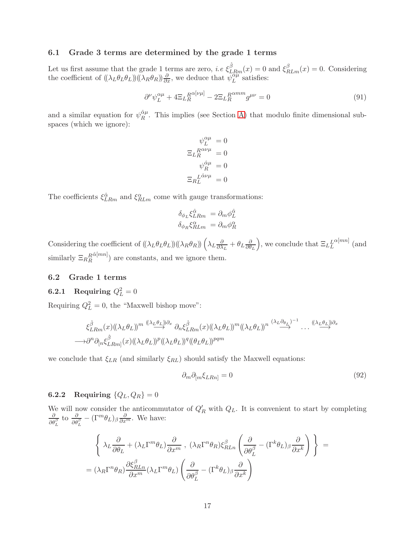### <span id="page-17-0"></span>6.1 Grade 3 terms are determined by the grade 1 terms

Let us first assume that the grade 1 terms are zero, *i.e*  $\xi_{LRm}^{\hat{\beta}}(x) = 0$  and  $\xi_{RLm}^{\beta}(x) = 0$ . Considering the coefficient of  $((\lambda_L \theta_L \theta_L))( (\lambda_R \theta_R)) \frac{\partial}{\partial x}$ , we deduce that  $\psi_L^{\alpha \mu}$  $\mathcal{L}^{\alpha\mu}$  satisfies:

$$
\partial^{\nu}\psi_{L}^{\alpha\mu} + 4\Xi_{L}^{R\alpha[\nu\mu]} - 2\Xi_{L}^{R\alpha m m}g^{\mu\nu} = 0
$$
\n(91)

and a similar equation for  $\psi_R^{\hat{\alpha}\mu}$  $R^{\alpha\mu}$ . This implies (see Section [A\)](#page-20-1) that modulo finite dimensional subspaces (which we ignore):

$$
\psi_L^{\alpha\mu} = 0
$$
  

$$
\Xi_L^R_{R}^{\alpha\nu\mu} = 0
$$
  

$$
\psi_R^{\hat{\alpha}\mu} = 0
$$
  

$$
\Xi_R^{\hat{L}\hat{\alpha}\nu\mu} = 0
$$

The coefficients  $\xi_{LRm}^{\hat{\alpha}}$  and  $\xi_{RLm}^{\alpha}$  come with gauge transformations:

$$
\delta_{\phi_L} \xi_{LRm}^{\hat{\alpha}} = \partial_m \phi_L^{\hat{\alpha}}
$$

$$
\delta_{\phi_R} \xi_{RLm}^{\alpha} = \partial_m \phi_R^{\alpha}
$$

Considering the coefficient of  $((\lambda_L \theta_L \theta_L) ) ((\lambda_R \theta_R)) (\lambda_L \frac{\partial}{\partial \lambda_L})$  $\frac{\partial}{\partial \lambda_L} + \theta_L \frac{\partial}{\partial \theta}$  $\partial \theta_L$ ), we conclude that  $\Xi_L^L$  $\alpha^{[mn]}$  (and similarly  $\Xi_{R}{}_{R}^{R}$  $\left(\alpha[mn]\right)$  are constants, and we ignore them.

### <span id="page-17-2"></span><span id="page-17-1"></span>6.2 Grade 1 terms

# **6.2.1** Requiring  $Q_L^2 = 0$

Requiring  $Q_L^2 = 0$ , the "Maxwell bishop move":

$$
\xi_{LRm}^{\hat{\beta}}(x) \left((\lambda_L \theta_L)\right)^{m} \xrightarrow{(\lambda_L \theta_L) \partial_x} \partial_n \xi_{LRm}^{\hat{\beta}}(x) \left((\lambda_L \theta_L)\right)^{m} \left((\lambda_L \theta_L)\right)^{n} \xrightarrow{(\lambda_L \partial_{\theta_L})^{-1}} \dots \xrightarrow{(\lambda_L \theta_L) \partial_x}
$$
  
\n
$$
\longrightarrow \partial^n \partial_{[n} \xi_{LRm]}^{\hat{\beta}}(x) \left((\lambda_L \theta_L)\right)^p \left((\lambda_L \theta_L)\right)^q \left((\theta_L \theta_L)\right)^{pqm}
$$

we conclude that  $\xi_{LR}$  (and similarly  $\xi_{RL}$ ) should satisfy the Maxwell equations:

$$
\partial_m \partial_{[m} \xi_{LRn]} = 0 \tag{92}
$$

# <span id="page-17-3"></span>**6.2.2** Requiring  $\{Q_L, Q_R\} = 0$

We will now consider the anticommutator of  $Q'_R$  with  $Q_L$ . It is convenient to start by completing  $\frac{\partial}{\partial \theta_L^{\beta}}$  to  $\frac{\partial}{\partial \theta_L^{\beta}} - (\Gamma^m \theta_L)_{\beta} \frac{\partial}{\partial x^m}$ . We have:

$$
\left\{ \begin{array}{l} \lambda_L \frac{\partial}{\partial \theta_L} + (\lambda_L \Gamma^m \theta_L) \frac{\partial}{\partial x^m} \ , \ (\lambda_R \Gamma^n \theta_R) \xi_{RLn}^\beta \left( \frac{\partial}{\partial \theta_L^\beta} - (\Gamma^k \theta_L)_\beta \frac{\partial}{\partial x^k} \right) \end{array} \right\} \ = \n(\lambda_R \Gamma^n \theta_R) \frac{\partial \xi_{RLn}^\beta}{\partial x^m} (\lambda_L \Gamma^m \theta_L) \left( \frac{\partial}{\partial \theta_L^\beta} - (\Gamma^k \theta_L)_\beta \frac{\partial}{\partial x^k} \right)
$$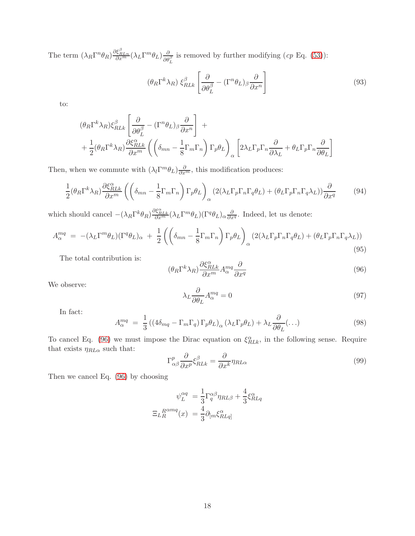The term  $(\lambda_R \Gamma^n \theta_R) \frac{\partial \xi_{RLn}^{\beta}}{\partial x^m} (\lambda_L \Gamma^m \theta_L) \frac{\partial}{\partial \theta_L^{\beta}}$  is removed by further modifying  $(cp \to q. (53))$  $(cp \to q. (53))$  $(cp \to q. (53))$ :

$$
(\theta_R \Gamma^k \lambda_R) \xi_{RLk}^{\beta} \left[ \frac{\partial}{\partial \theta_L^{\beta}} - (\Gamma^n \theta_L)_{\beta} \frac{\partial}{\partial x^n} \right]
$$
 (93)

to:

$$
\begin{split} &(\theta_R \Gamma^k \lambda_R)\xi_{RLk}^\beta \left[\frac{\partial}{\partial \theta_L^\beta} - (\Gamma^n \theta_L)_\beta \frac{\partial}{\partial x^n}\right] \; + \\ &+ \frac{1}{2}(\theta_R \Gamma^k \lambda_R) \frac{\partial \xi_{RLk}^\alpha}{\partial x^m} \left(\left(\delta_{mn} - \frac{1}{8} \Gamma_m \Gamma_n\right) \Gamma_p \theta_L\right)_\alpha \left[2 \lambda_L \Gamma_p \Gamma_n \frac{\partial}{\partial \lambda_L} + \theta_L \Gamma_p \Gamma_n \frac{\partial}{\partial \theta_L}\right] \end{split}
$$

Then, when we commute with  $(\lambda_l \Gamma^m \theta_L) \frac{\partial}{\partial x^m}$ , this modification produces:

$$
\frac{1}{2}(\theta_R \Gamma^k \lambda_R) \frac{\partial \xi_{RLk}^{\alpha}}{\partial x^m} \left( \left( \delta_{mn} - \frac{1}{8} \Gamma_m \Gamma_n \right) \Gamma_p \theta_L \right)_{\alpha} \left( 2(\lambda_L \Gamma_p \Gamma_n \Gamma_q \theta_L) + (\theta_L \Gamma_p \Gamma_n \Gamma_q \lambda_L) \right) \frac{\partial}{\partial x^q} \tag{94}
$$

which should cancel  $-(\lambda_R \Gamma^k \theta_R) \frac{\partial \xi_{RLE}^{\alpha}}{\partial x^m} (\lambda_L \Gamma^m \theta_L) (\Gamma^q \theta_L)_{\alpha} \frac{\partial}{\partial x^q}$ . Indeed, let us denote:

$$
A_{\alpha}^{mq} = -(\lambda_L \Gamma^m \theta_L) (\Gamma^q \theta_L)_{\alpha} + \frac{1}{2} \left( \left( \delta_{mn} - \frac{1}{8} \Gamma_m \Gamma_n \right) \Gamma_p \theta_L \right)_{\alpha} (2(\lambda_L \Gamma_p \Gamma_n \Gamma_q \theta_L) + (\theta_L \Gamma_p \Gamma_n \Gamma_q \lambda_L)) \tag{95}
$$

The total contribution is:

<span id="page-18-0"></span>
$$
(\theta_R \Gamma^k \lambda_R) \frac{\partial \xi_{RLk}^{\alpha}}{\partial x^m} A_{\alpha}^{mq} \frac{\partial}{\partial x^q}
$$
\n(96)

We observe:

$$
\lambda_L \frac{\partial}{\partial \theta_L} A_{\alpha}^{mq} = 0 \tag{97}
$$

In fact:

$$
A_{\alpha}^{mq} = \frac{1}{3} \left( \left( 4\delta_{mq} - \Gamma_m \Gamma_q \right) \Gamma_p \theta_L \right)_{\alpha} \left( \lambda_L \Gamma_p \theta_L \right) + \lambda_L \frac{\partial}{\partial \theta_L} (\dots)
$$
(98)

To cancel Eq. [\(96\)](#page-18-0) we must impose the Dirac equation on  $\xi_{RLk}^{\alpha}$ , in the following sense. Require that exists  $\eta_{RL\alpha}$  such that:

$$
\Gamma^p_{\alpha\beta} \frac{\partial}{\partial x^p} \xi^{\beta}_{RLk} = \frac{\partial}{\partial x^k} \eta_{RL\alpha} \tag{99}
$$

Then we cancel Eq. [\(96\)](#page-18-0) by choosing

$$
\psi_L^{\alpha q} = \frac{1}{3} \Gamma_q^{\alpha \beta} \eta_{RL\beta} + \frac{4}{3} \xi_{RLq}^{\alpha}
$$

$$
\Xi_{LR}^{R^{\alpha m q}}(x) = \frac{4}{3} \partial_{[m} \xi_{RLq]}^{\alpha}
$$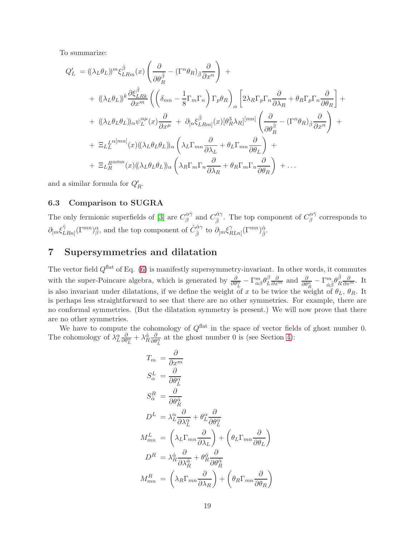To summarize:

$$
Q'_{L} = ((\lambda_{L}\theta_{L})^{m}\xi_{LRm}^{\hat{\beta}}(x)\left(\frac{\partial}{\partial\theta_{R}^{\hat{\beta}}} - (\Gamma^{n}\theta_{R})_{\hat{\beta}}\frac{\partial}{\partial x^{n}}\right) +
$$
  
+ 
$$
((\lambda_{L}\theta_{L})^{k}\frac{\partial\xi_{LRk}^{\hat{\beta}}}{\partial x^{m}}\left(\left(\delta_{mn} - \frac{1}{8}\Gamma_{m}\Gamma_{n}\right)\Gamma_{p}\theta_{R}\right)_{\alpha}\left[2\lambda_{R}\Gamma_{p}\Gamma_{n}\frac{\partial}{\partial\lambda_{R}} + \theta_{R}\Gamma_{p}\Gamma_{n}\frac{\partial}{\partial\theta_{R}}\right] +
$$
  
+ 
$$
((\lambda_{L}\theta_{L}\theta_{L})_{\alpha}\psi_{L}^{\alpha\mu}(x)\frac{\partial}{\partial x^{\mu}} + \partial_{[n}\xi_{LRm]}^{\hat{\beta}}(x)[\theta_{R}^{3}\lambda_{R}]^{[mn]}\left(\frac{\partial}{\partial\theta_{R}^{\hat{\beta}}} - (\Gamma^{n}\theta_{R})_{\hat{\beta}}\frac{\partial}{\partial x^{n}}\right) +
$$
  
+ 
$$
\Xi_{LL}^{L^{\alpha[mn]}}(x)((\lambda_{L}\theta_{L}\theta_{L}))_{\alpha}\left(\lambda_{L}\Gamma_{mn}\frac{\partial}{\partial\lambda_{L}} + \theta_{L}\Gamma_{mn}\frac{\partial}{\partial\theta_{L}}\right) +
$$
  
+ 
$$
\Xi_{LR}^{R^{\alpha mn}}(x)((\lambda_{L}\theta_{L}\theta_{L}))_{\alpha}\left(\lambda_{R}\Gamma_{m}\Gamma_{n}\frac{\partial}{\partial\lambda_{R}} + \theta_{R}\Gamma_{m}\Gamma_{n}\frac{\partial}{\partial\theta_{R}}\right) + \dots
$$

and a similar formula for  $Q'_R$ .

### <span id="page-19-0"></span>6.3 Comparison to SUGRA

The only fermionic superfields of [\[3\]](#page-21-2) are  $C^{\alpha\hat{\gamma}}_{\beta}$  $\hat{\beta}^{\alpha\hat{\gamma}}$  and  $C^{\hat{\alpha}\gamma}_{\hat{\beta}}$  $\hat{\alpha}^{\hat{\alpha}\gamma}$ . The top component of  $C^{\alpha\hat{\gamma}}_{\beta}$  $\frac{1}{β}$ <sup>αγ</sup> corresponds to  $\partial_{[m}\xi^{\hat{\gamma}}_{L}$  $\hat{C}_{LRn]}^{(\Gamma^{mn})}(\Gamma^{mn})^{\alpha}_{\beta}$ , and the top component of  $\hat{C}_{\hat{\beta}}^{\hat{\alpha}\gamma}$  to  $\partial_{[m}\xi_{R]}^{\gamma}$  $\int_{RLn]}^{\gamma} (\Gamma^{mn})^{\hat{\alpha}}_{\hat{\beta}}.$ 

## <span id="page-19-1"></span>7 Supersymmetries and dilatation

The vector field  $Q^{\text{flat}}$  of Eq. [\(6\)](#page-3-3) is manifestly supersymmetry-invariant. In other words, it commutes with the super-Poincare algebra, which is generated by  $\frac{\partial}{\partial \theta_L^{\alpha}} - \Gamma_{\alpha\beta}^m \theta_L^{\beta}$  $\frac{\partial}{\partial L} \frac{\partial}{\partial x^m}$  and  $\frac{\partial}{\partial \theta_R^{\hat{\alpha}}} - \Gamma^m_{\hat{\alpha}\hat{\beta}} \theta_R^{\hat{\beta}}$  $\frac{\beta}{R} \frac{\partial}{\partial x^m}$ . It is also invariant under dilatations, if we define the weight of x to be twice the weight of  $\theta_L$ ,  $\theta_R$ . It is perhaps less straightforward to see that there are no other symmetries. For example, there are no conformal symmetries. (But the dilatation symmetry is present.) We will now prove that there are no other symmetries.

We have to compute the cohomology of  $Q^{\text{flat}}$  in the space of vector fields of ghost number 0. The cohomology of  $\lambda_L^{\alpha} \frac{\partial}{\partial \theta_L^{\alpha}} + \lambda_R^{\hat{\alpha}} \frac{\partial}{\partial \theta_L^{\hat{\alpha}}}$  at the ghost number 0 is (see Section [4\)](#page-7-0):

$$
T_m = \frac{\partial}{\partial x^m}
$$
  
\n
$$
S_{\alpha}^{L} = \frac{\partial}{\partial \theta_{L}^{\alpha}}
$$
  
\n
$$
S_{\hat{\alpha}}^{R} = \frac{\partial}{\partial \theta_{R}^{\hat{\alpha}}}
$$
  
\n
$$
D^{L} = \lambda_{L}^{\alpha} \frac{\partial}{\partial \lambda_{L}^{\alpha}} + \theta_{L}^{\alpha} \frac{\partial}{\partial \theta_{L}^{\alpha}}
$$
  
\n
$$
M_{mn}^{L} = \left(\lambda_{L} \Gamma_{mn} \frac{\partial}{\partial \lambda_{L}}\right) + \left(\theta_{L} \Gamma_{mn} \frac{\partial}{\partial \theta_{L}}\right)
$$
  
\n
$$
D^{R} = \lambda_{R}^{\hat{\alpha}} \frac{\partial}{\partial \lambda_{R}^{\hat{\alpha}}} + \theta_{R}^{\hat{\alpha}} \frac{\partial}{\partial \theta_{R}^{\hat{\alpha}}}
$$
  
\n
$$
M_{mn}^{R} = \left(\lambda_{R} \Gamma_{mn} \frac{\partial}{\partial \lambda_{R}}\right) + \left(\theta_{R} \Gamma_{mn} \frac{\partial}{\partial \theta_{R}}\right)
$$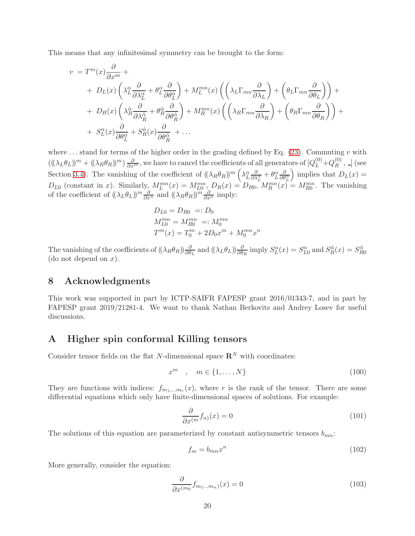This means that any infinitesimal symmetry can be brought to the form:

$$
v = T^{m}(x)\frac{\partial}{\partial x^{m}} +
$$
  
+  $D_{L}(x)\left(\lambda_{L}^{\alpha}\frac{\partial}{\partial \lambda_{L}^{\alpha}} + \theta_{L}^{\alpha}\frac{\partial}{\partial \theta_{L}^{\alpha}}\right) + M_{L}^{mn}(x)\left(\left(\lambda_{L}\Gamma_{mn}\frac{\partial}{\partial \lambda_{L}}\right) + \left(\theta_{L}\Gamma_{mn}\frac{\partial}{\partial \theta_{L}}\right)\right) +$   
+  $D_{R}(x)\left(\lambda_{R}^{\alpha}\frac{\partial}{\partial \lambda_{R}^{\alpha}} + \theta_{R}^{\alpha}\frac{\partial}{\partial \theta_{R}^{\alpha}}\right) + M_{R}^{mn}(x)\left(\left(\lambda_{R}\Gamma_{mn}\frac{\partial}{\partial \lambda_{R}}\right) + \left(\theta_{R}\Gamma_{mn}\frac{\partial}{\partial \theta_{R}}\right)\right) +$   
+  $S_{L}^{\alpha}(x)\frac{\partial}{\partial \theta_{L}^{\alpha}} + S_{R}^{\alpha}(x)\frac{\partial}{\partial \theta_{R}^{\alpha}} + ...$ 

where  $\dots$  stand for terms of the higher order in the grading defined by Eq. [\(23\)](#page-6-6). Commuting v with  $((\lambda_L \theta_L))^m + ((\lambda_R \theta_R))^m) \frac{\partial}{\partial x^m}$ , we have to cancel the coefficients of all generators of  $[Q_L^{(0)} + Q_R^{(0)}]$  $R^{(0)}$ ,  $\Box$  (see Section [3.4\)](#page-6-4). The vanishing of the coefficient of  $((\lambda_R \theta_R))^m \left( \lambda_L^{\alpha} \frac{\partial}{\partial \lambda_L^{\alpha}} + \theta_L^{\alpha} \frac{\partial}{\partial \theta_L^{\alpha}} \right)$ ) implies that  $D_L(x) =$  $D_{L0}$  (constant in x). Similarly,  $M_L^{mn}(x) = M_{L0}^{mn}, D_R(x) = D_{R0}, M_R^{mn}(x) = M_{R0}^{mn}$ . The vanishing of the coefficient of  $((\lambda_L \theta_L))^m \frac{\partial}{\partial x^n}$  and  $((\lambda_R \theta_R))^m \frac{\partial}{\partial x^n}$  imply:

$$
D_{L0} = D_{R0} =: D_0
$$
  
\n
$$
M_{L0}^{mn} = M_{R0}^{mn} =: M_0^{mn}
$$
  
\n
$$
T^m(x) = T_0^m + 2D_0 x^m + M_0^{mn} x^n
$$

The vanishing of the coefficients of  $((\lambda_R \theta_R)_{\partial \theta_L}^{\partial}$  and  $((\lambda_L \theta_L))_{\partial \theta_R}^{\partial}$  imply  $S_L^{\alpha}(x) = S_{L0}^{\alpha}$  and  $S_R^{\hat{\alpha}}(x) = S_{R0}^{\hat{\alpha}}$ (do not depend on  $x$ ).

### <span id="page-20-0"></span>8 Acknowledgments

This work was supported in part by ICTP-SAIFR FAPESP grant 2016/01343-7, and in part by FAPESP grant 2019/21281-4. We want to thank Nathan Berkovits and Andrey Losev for useful discussions.

### <span id="page-20-1"></span>A Higher spin conformal Killing tensors

Consider tensor fields on the flat N-dimensional space  $\mathbb{R}^N$  with coordinates:

$$
x^m \quad , \quad m \in \{1, \dots, N\} \tag{100}
$$

They are functions with indices:  $f_{m_1,...m_r}(x)$ , where r is the rank of the tensor. There are some differential equations which only have finite-dimensional spaces of solutions. For example:

$$
\frac{\partial}{\partial x^{(m}} f_{n)}(x) = 0 \tag{101}
$$

The solutions of this equation are parameterized by constant antisymmetric tensors  $b_{mn}$ :

$$
f_m = b_{mn} x^n \tag{102}
$$

More generally, consider the equation:

<span id="page-20-2"></span>
$$
\frac{\partial}{\partial x^{(m_0}} f_{m_1...m_n)}(x) = 0 \tag{103}
$$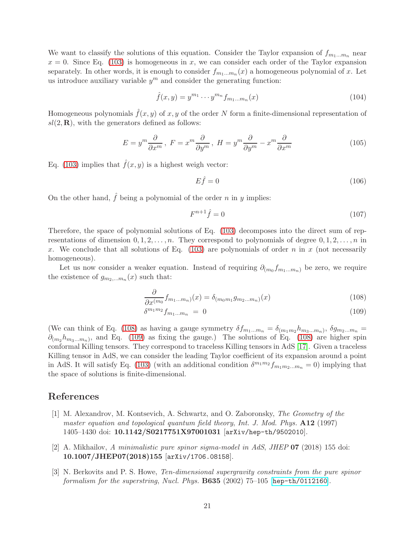We want to classify the solutions of this equation. Consider the Taylor expansion of  $f_{m_1...m_n}$  near  $x = 0$ . Since Eq. [\(103\)](#page-20-2) is homogeneous in x, we can consider each order of the Taylor expansion separately. In other words, it is enough to consider  $f_{m_1...m_n}(x)$  a homogeneous polynomial of x. Let us introduce auxiliary variable  $y^m$  and consider the generating function:

$$
\hat{f}(x,y) = y^{m_1} \cdots y^{m_n} f_{m_1...m_n}(x)
$$
\n(104)

Homogeneous polynomials  $\hat{f}(x, y)$  of x, y of the order N form a finite-dimensional representation of  $sl(2,\mathbf{R})$ , with the generators defined as follows:

$$
E = y^m \frac{\partial}{\partial x^m}, \ F = x^m \frac{\partial}{\partial y^m}, \ H = y^m \frac{\partial}{\partial y^m} - x^m \frac{\partial}{\partial x^m}
$$
(105)

Eq. [\(103\)](#page-20-2) implies that  $\hat{f}(x, y)$  is a highest weigh vector:

$$
E\hat{f} = 0\tag{106}
$$

On the other hand,  $\hat{f}$  being a polynomial of the order n in y implies:

<span id="page-21-4"></span><span id="page-21-3"></span>
$$
F^{n+1}\hat{f} = 0\tag{107}
$$

Therefore, the space of polynomial solutions of Eq. [\(103\)](#page-20-2) decomposes into the direct sum of representations of dimension  $0, 1, 2, \ldots, n$ . They correspond to polynomials of degree  $0, 1, 2, \ldots, n$  in x. We conclude that all solutions of Eq.  $(103)$  are polynomials of order n in x (not necessarily homogeneous).

Let us now consider a weaker equation. Instead of requiring  $\partial_{(m_0} f_{m_1...m_n)}$  be zero, we require the existence of  $g_{m_2,...m_n}(x)$  such that:

$$
\frac{\partial}{\partial x^{(m_0}} f_{m_1...m_n)}(x) = \delta_{(m_0 m_1} g_{m_2...m_n)}(x)
$$
\n(108)

$$
\delta^{m_1 m_2} f_{m_1...m_n} = 0 \tag{109}
$$

(We can think of Eq. [\(108\)](#page-21-3) as having a gauge symmetry  $\delta f_{m_1...m_n} = \delta_{(m_1m_2}h_{m_3...m_n)}$ ,  $\delta g_{m_2...m_n} =$  $\partial_{(m_2}h_{m_3...m_n)}$ , and Eq. [\(109\)](#page-21-4) as fixing the gauge.) The solutions of Eq. [\(108\)](#page-21-3) are higher spin conformal Killing tensors. They correspond to traceless Killing tensors in AdS [\[17\]](#page-22-13). Given a traceless Killing tensor in AdS, we can consider the leading Taylor coefficient of its expansion around a point in AdS. It will satisfy Eq. [\(103\)](#page-20-2) (with an additional condition  $\delta^{m_1 m_2} f_{m_1 m_2 ... m_n} = 0$ ) implying that the space of solutions is finite-dimensional.

### <span id="page-21-0"></span>References

- [1] M. Alexandrov, M. Kontsevich, A. Schwartz, and O. Zaboronsky, *The Geometry of the master equation and topological quantum field theory*, *Int. J. Mod. Phys.* A12 (1997) 1405–1430 doi: 10.1142/S0217751X97001031 [arXiv/hep-th/9502010].
- <span id="page-21-1"></span>[2] A. Mikhailov, *A minimalistic pure spinor sigma-model in AdS*, *JHEP* 07 (2018) 155 doi: 10.1007/JHEP07(2018)155 [arXiv/1706.08158].
- <span id="page-21-2"></span>[3] N. Berkovits and P. S. Howe, *Ten-dimensional supergravity constraints from the pure spinor formalism for the superstring*, *Nucl. Phys.* B635 (2002) 75–105 [[hep-th/0112160](http://arxiv.org/abs/hep-th/0112160)].